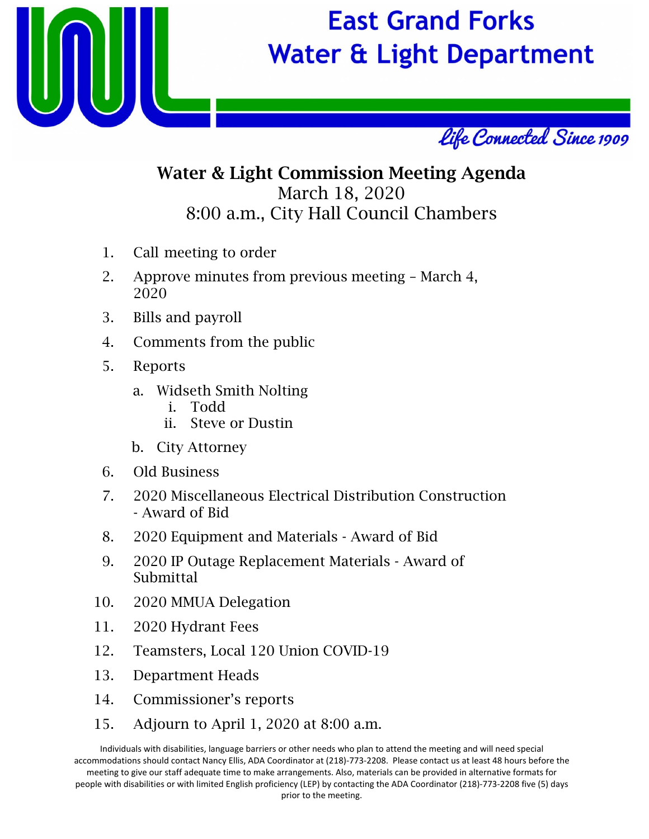

## **East Grand Forks Water & Light Department**



### Water & Light Commission Meeting Agenda March 18, 2020 8:00 a.m., City Hall Council Chambers

- 1. Call meeting to order
- 2. Approve minutes from previous meeting March 4, 2020
- 3. Bills and payroll
- 4. Comments from the public
- 5. Reports
	- a. Widseth Smith Nolting
		- i. Todd
		- ii. Steve or Dustin
	- b. City Attorney
- 6. Old Business
- 7. 2020 Miscellaneous Electrical Distribution Construction - Award of Bid
- 8. 2020 Equipment and Materials Award of Bid
- 9. 2020 IP Outage Replacement Materials Award of Submittal
- 10. 2020 MMUA Delegation
- 11. 2020 Hydrant Fees
- 12. Teamsters, Local 120 Union COVID-19
- 13. Department Heads
- 14. Commissioner's reports
- 15. Adjourn to April 1, 2020 at 8:00 a.m.

Individuals with disabilities, language barriers or other needs who plan to attend the meeting and will need special accommodations should contact Nancy Ellis, ADA Coordinator at (218)‐773‐2208. Please contact us at least 48 hours before the meeting to give our staff adequate time to make arrangements. Also, materials can be provided in alternative formats for people with disabilities or with limited English proficiency (LEP) by contacting the ADA Coordinator (218)‐773‐2208 five (5) days prior to the meeting.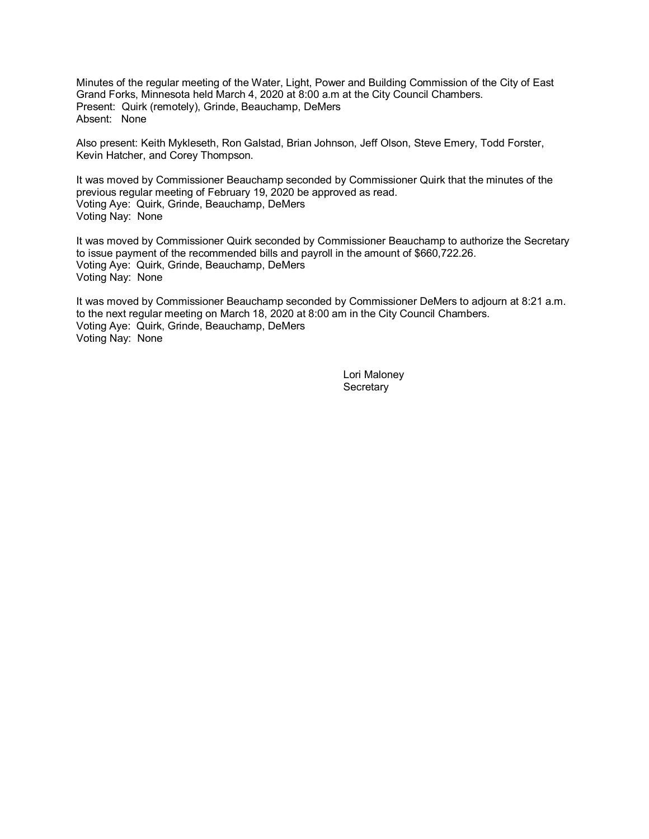Minutes of the regular meeting of the Water, Light, Power and Building Commission of the City of East Grand Forks, Minnesota held March 4, 2020 at 8:00 a.m at the City Council Chambers. Present: Quirk (remotely), Grinde, Beauchamp, DeMers Absent: None

Also present: Keith Mykleseth, Ron Galstad, Brian Johnson, Jeff Olson, Steve Emery, Todd Forster, Kevin Hatcher, and Corey Thompson.

It was moved by Commissioner Beauchamp seconded by Commissioner Quirk that the minutes of the previous regular meeting of February 19, 2020 be approved as read. Voting Aye: Quirk, Grinde, Beauchamp, DeMers Voting Nay: None

It was moved by Commissioner Quirk seconded by Commissioner Beauchamp to authorize the Secretary to issue payment of the recommended bills and payroll in the amount of \$660,722.26. Voting Aye: Quirk, Grinde, Beauchamp, DeMers Voting Nay: None

It was moved by Commissioner Beauchamp seconded by Commissioner DeMers to adjourn at 8:21 a.m. to the next regular meeting on March 18, 2020 at 8:00 am in the City Council Chambers. Voting Aye: Quirk, Grinde, Beauchamp, DeMers Voting Nay: None

> Lori Maloney **Secretary**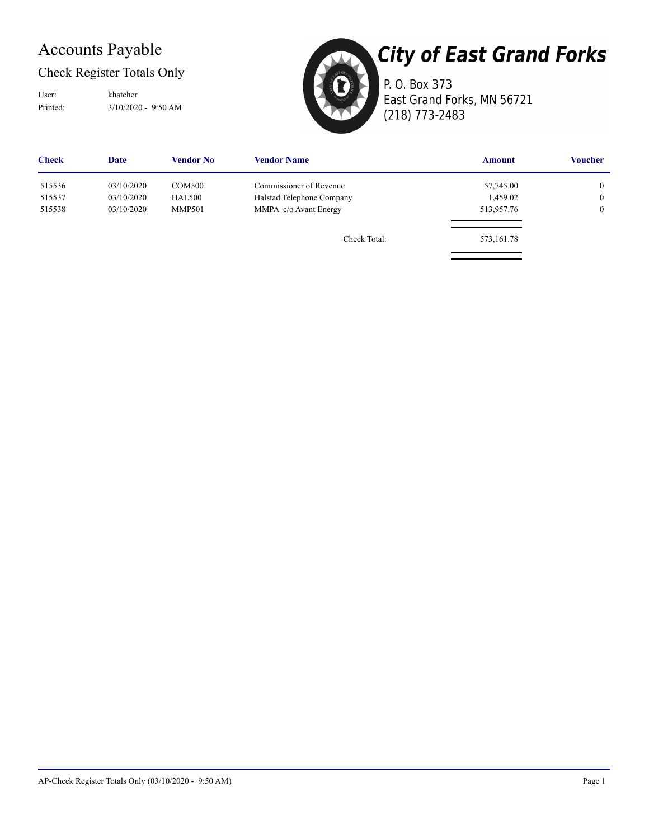### Accounts Payable

### Check Register Totals Only

Printed: 3/10/2020 - 9:50 AM User: khatcher



## **City of East Grand Forks**

P. O. Box 373 East Grand Forks, MN 56721 (218) 773-2483

| <b>Check</b> | Date       | <b>Vendor No</b> | <b>Vendor Name</b>        | <b>Amount</b> | <b>Voucher</b> |
|--------------|------------|------------------|---------------------------|---------------|----------------|
| 515536       | 03/10/2020 | COM500           | Commissioner of Revenue   | 57,745.00     | $\overline{0}$ |
| 515537       | 03/10/2020 | <b>HAL500</b>    | Halstad Telephone Company | 1,459.02      | $\overline{0}$ |
| 515538       | 03/10/2020 | <b>MMP501</b>    | MMPA c/o Avant Energy     | 513,957.76    | $\overline{0}$ |
|              |            |                  | Check Total:              | 573,161.78    |                |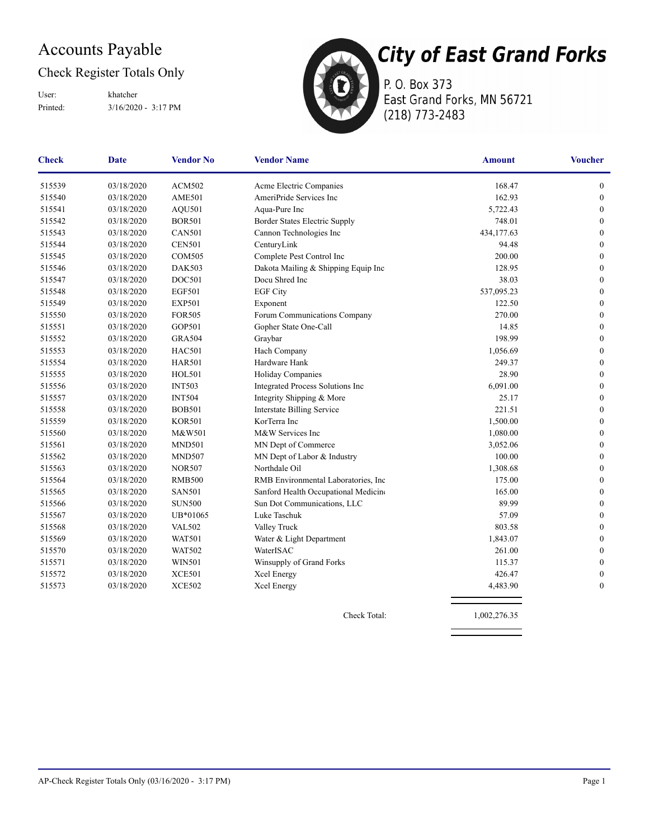### Accounts Payable

### Check Register Totals Only

Printed: 3/16/2020 - 3:17 PM User: khatcher



P. O. Box 373 East Grand Forks, MN 56721 (218) 773-2483

| <b>Check</b> | <b>Date</b> | <b>Vendor No</b> | <b>Vendor Name</b>                   | <b>Amount</b> | <b>Voucher</b>   |
|--------------|-------------|------------------|--------------------------------------|---------------|------------------|
| 515539       | 03/18/2020  | <b>ACM502</b>    | Acme Electric Companies              | 168.47        | $\boldsymbol{0}$ |
| 515540       | 03/18/2020  | <b>AME501</b>    | AmeriPride Services Inc              | 162.93        | $\boldsymbol{0}$ |
| 515541       | 03/18/2020  | AQU501           | Aqua-Pure Inc                        | 5,722.43      | $\mathbf{0}$     |
| 515542       | 03/18/2020  | <b>BOR501</b>    | Border States Electric Supply        | 748.01        | $\boldsymbol{0}$ |
| 515543       | 03/18/2020  | <b>CAN501</b>    | Cannon Technologies Inc              | 434,177.63    | $\boldsymbol{0}$ |
| 515544       | 03/18/2020  | <b>CEN501</b>    | CenturyLink                          | 94.48         | $\boldsymbol{0}$ |
| 515545       | 03/18/2020  | <b>COM505</b>    | Complete Pest Control Inc            | 200.00        | $\boldsymbol{0}$ |
| 515546       | 03/18/2020  | <b>DAK503</b>    | Dakota Mailing & Shipping Equip Inc  | 128.95        | $\boldsymbol{0}$ |
| 515547       | 03/18/2020  | DOC501           | Docu Shred Inc                       | 38.03         | $\boldsymbol{0}$ |
| 515548       | 03/18/2020  | <b>EGF501</b>    | <b>EGF City</b>                      | 537,095.23    | $\mathbf{0}$     |
| 515549       | 03/18/2020  | <b>EXP501</b>    | Exponent                             | 122.50        | $\theta$         |
| 515550       | 03/18/2020  | <b>FOR505</b>    | Forum Communications Company         | 270.00        | $\theta$         |
| 515551       | 03/18/2020  | GOP501           | Gopher State One-Call                | 14.85         | $\mathbf{0}$     |
| 515552       | 03/18/2020  | <b>GRA504</b>    | Graybar                              | 198.99        | $\mathbf{0}$     |
| 515553       | 03/18/2020  | <b>HAC501</b>    | Hach Company                         | 1,056.69      | $\mathbf{0}$     |
| 515554       | 03/18/2020  | <b>HAR501</b>    | Hardware Hank                        | 249.37        | $\mathbf{0}$     |
| 515555       | 03/18/2020  | <b>HOL501</b>    | Holiday Companies                    | 28.90         | $\mathbf{0}$     |
| 515556       | 03/18/2020  | <b>INT503</b>    | Integrated Process Solutions Inc     | 6,091.00      | $\boldsymbol{0}$ |
| 515557       | 03/18/2020  | <b>INT504</b>    | Integrity Shipping & More            | 25.17         | $\boldsymbol{0}$ |
| 515558       | 03/18/2020  | <b>BOB501</b>    | <b>Interstate Billing Service</b>    | 221.51        | $\boldsymbol{0}$ |
| 515559       | 03/18/2020  | <b>KOR501</b>    | KorTerra Inc                         | 1,500.00      | $\boldsymbol{0}$ |
| 515560       | 03/18/2020  | M&W501           | M&W Services Inc                     | 1,080.00      | $\mathbf{0}$     |
| 515561       | 03/18/2020  | <b>MND501</b>    | MN Dept of Commerce                  | 3,052.06      | $\mathbf{0}$     |
| 515562       | 03/18/2020  | <b>MND507</b>    | MN Dept of Labor & Industry          | 100.00        | $\mathbf{0}$     |
| 515563       | 03/18/2020  | <b>NOR507</b>    | Northdale Oil                        | 1,308.68      | $\mathbf{0}$     |
| 515564       | 03/18/2020  | <b>RMB500</b>    | RMB Environmental Laboratories, Inc. | 175.00        | $\mathbf{0}$     |
| 515565       | 03/18/2020  | <b>SAN501</b>    | Sanford Health Occupational Medicine | 165.00        | $\boldsymbol{0}$ |
| 515566       | 03/18/2020  | <b>SUN500</b>    | Sun Dot Communications, LLC          | 89.99         | $\boldsymbol{0}$ |
| 515567       | 03/18/2020  | UB*01065         | Luke Taschuk                         | 57.09         | $\boldsymbol{0}$ |
| 515568       | 03/18/2020  | <b>VAL502</b>    | Valley Truck                         | 803.58        | $\boldsymbol{0}$ |
| 515569       | 03/18/2020  | <b>WAT501</b>    | Water & Light Department             | 1,843.07      | $\boldsymbol{0}$ |
| 515570       | 03/18/2020  | <b>WAT502</b>    | WaterISAC                            | 261.00        | $\boldsymbol{0}$ |
| 515571       | 03/18/2020  | <b>WIN501</b>    | Winsupply of Grand Forks             | 115.37        | $\boldsymbol{0}$ |
| 515572       | 03/18/2020  | <b>XCE501</b>    | Xcel Energy                          | 426.47        | $\boldsymbol{0}$ |
| 515573       | 03/18/2020  | <b>XCE502</b>    | Xcel Energy                          | 4,483.90      | $\mathbf{0}$     |

Check Total: 1,002,276.35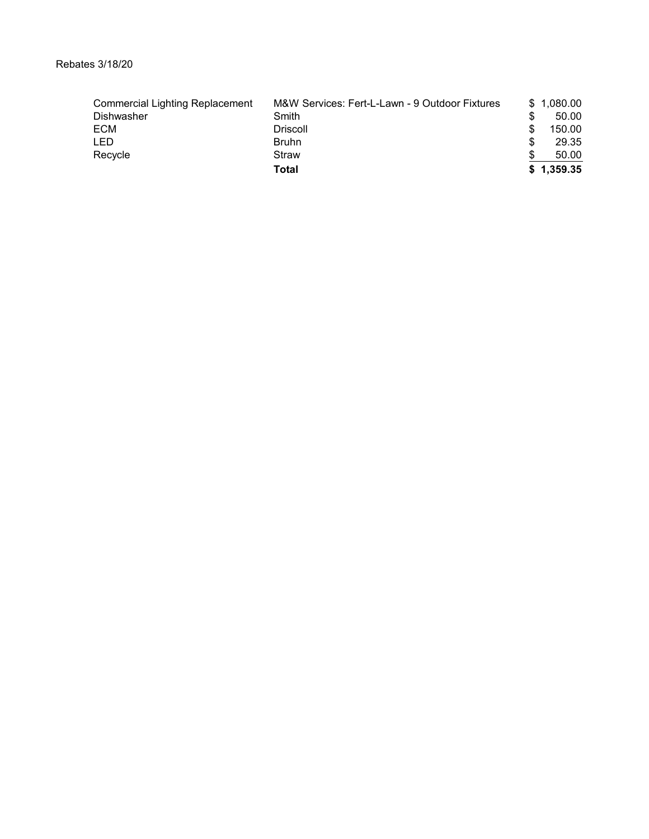| <b>Commercial Lighting Replacement</b> | M&W Services: Fert-L-Lawn - 9 Outdoor Fixtures | \$1.080.00 |
|----------------------------------------|------------------------------------------------|------------|
| <b>Dishwasher</b>                      | Smith                                          | 50.00      |
| <b>ECM</b>                             | <b>Driscoll</b>                                | 150.00     |
| <b>LED</b>                             | <b>Bruhn</b>                                   | 29.35      |
| Recycle                                | Straw                                          | 50.00      |
|                                        | Total                                          | \$1,359.35 |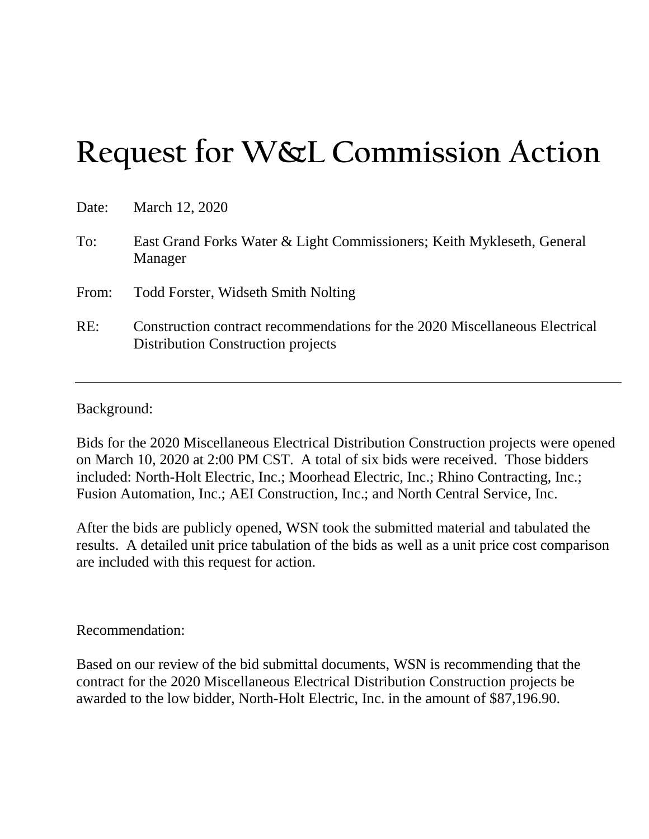# **Request for W&L Commission Action**

| Date: | March 12, 2020                                                                                                    |
|-------|-------------------------------------------------------------------------------------------------------------------|
| To:   | East Grand Forks Water & Light Commissioners; Keith Mykleseth, General<br>Manager                                 |
| From: | <b>Todd Forster, Widseth Smith Nolting</b>                                                                        |
| RE:   | Construction contract recommendations for the 2020 Miscellaneous Electrical<br>Distribution Construction projects |

Background:

Bids for the 2020 Miscellaneous Electrical Distribution Construction projects were opened on March 10, 2020 at 2:00 PM CST. A total of six bids were received. Those bidders included: North-Holt Electric, Inc.; Moorhead Electric, Inc.; Rhino Contracting, Inc.; Fusion Automation, Inc.; AEI Construction, Inc.; and North Central Service, Inc.

After the bids are publicly opened, WSN took the submitted material and tabulated the results. A detailed unit price tabulation of the bids as well as a unit price cost comparison are included with this request for action.

### Recommendation:

Based on our review of the bid submittal documents, WSN is recommending that the contract for the 2020 Miscellaneous Electrical Distribution Construction projects be awarded to the low bidder, North-Holt Electric, Inc. in the amount of \$87,196.90.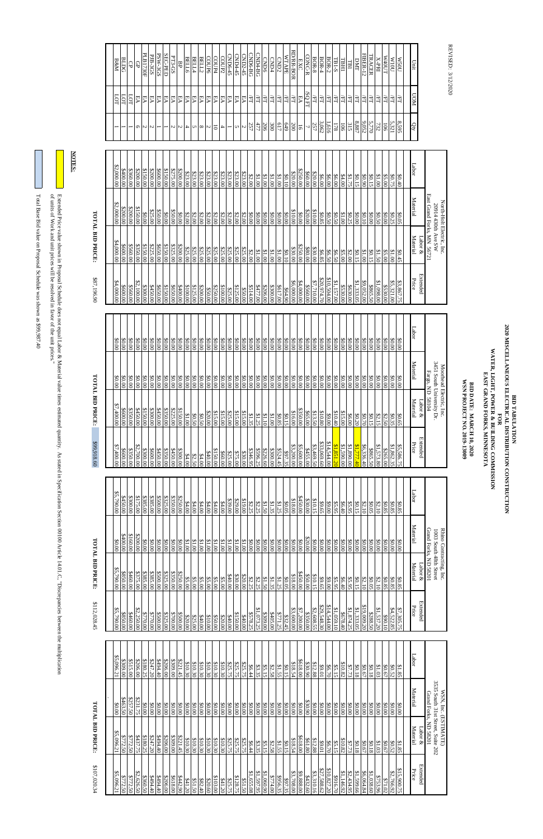REVISED REVISED: 3/12/2020

\$112,028.45 \$112,028.45

 Total Base Bid value on Proposal Schedule was shown as \$99,987.40 Total Base Bid value on Proposal Schedule was shown as \$99,987.40

 of units of Work and unit prices will be resolved in favor of the unit prices."  $\mathrm{Exch}$  in Proposal Schedule does not equal Labor & Material value times estimated duantity. As stated in Specification Section  $\mathrm{C}$  and  $\mathrm{C}$ Extended Price value shown in Proposal Schedule does not equal Labor & Material value times estimated quantity. As stated in Specification Section 00100 Article 14.01.C, "Discrepancies'<br>of units of Work and unit prices wil

# TOTAL BID PRICE: **TOTAL BID PRICE:**

**BID DATE: MARCH 10, 2020**<br>WSN PROJECT NO. 2019-13009 **WSN PROJECT NO. 2019-13009 BID DATE: MARCH 10, 2020**

| PLB1730F<br>CND6-BG<br>CND4-BG<br><b>FIBER-12</b><br>PSW-3GS<br>SEC-PED<br>CND2-45<br>$CND6-45$<br>CND4-45<br>PJB-3GS<br>CONC-R<br><b>IRACER</b><br><b>WTAPE</b><br>PT3-GS<br>TUO <sub>4</sub> W<br>COUP6<br>COUP4<br>COUP2<br><b>BELL6</b><br>BELL4<br>BELL2<br>$BOR-2$<br>BOR-8<br>$BOR-4$<br>1001M<br><b>BLDG</b><br>CDID4<br><b>N50U</b><br><b>CND6</b><br>CND <sub>2</sub><br>$TBI-S$<br>DMT<br>X-PRI<br>B&M<br>TBH1<br>EXC<br>Unit<br><b>TB1</b><br>명<br>$\Theta$<br>$\Theta$<br>/SQ FT<br><b>NON</b><br>$\overline{1}$<br>SЧ<br>Ş<br>EA<br>EA<br>EА<br>EА<br>EA<br>ĘA<br>EА<br>EA<br>EA<br>EА<br>EА<br>EA<br>É<br>E<br>Ę<br>EL<br>E<br>EL<br>EA<br>EA<br>EA<br>EA<br>EА<br>ÉL<br>ÆL<br>Ĕ<br>ÆT<br>E<br>Ę<br>ĚL<br>Ē<br>Ē<br>EL<br>Ē<br>Ē<br>귘<br>귘<br>$8.887\,$<br>9,052<br>5,770<br>5,321<br>3,062<br>8,595<br>1,616<br>Qty<br>477<br>649<br>257<br>315<br>732<br>257<br>206<br>300<br>617<br>200<br>106<br>106<br>178<br>5<br>$\sim$<br>$\overline{ }$<br>$\overline{a}$<br>$\infty$<br>N<br>5<br>S.<br>O<br>N<br>S<br>N<br>U<br>4<br>N<br>Labor<br>\$2,000.00<br>00.00.8<br>\$360.00<br>\$150.00<br>\$200.00<br>00000<br>\$275.00<br>\$200.00<br>\$250.00<br>\$200.00<br>\$600.00<br>\$23.00<br>\$23.00<br>\$23.00<br>\$60.00<br>\$23.00<br>\$23.00<br>\$23.00<br>\$23.00<br>\$23.00<br>\$20.00<br>\$20.00<br>\$1.00<br>\$2.00<br>\$1.00<br>\$1.00<br>\$1.00<br>\$0.10<br>\$6.00<br>\$6.00<br>\$0.15<br>06'0\$<br>\$1.00<br>\$5.00<br>\$6.00<br>\$4.00<br>\$1.75<br>\$0.15<br>\$0.75<br>00,40<br>East Grand Forks, MN 56721<br>Material<br>North-Holt Electric, Inc.<br>\$2,000.00<br>20914 430th Ave SW<br>\$200.00<br>\$200.00<br>\$150.00<br>\$25.00<br>\$50.00<br>\$20.00<br>\$10.00<br>\$50.00<br>\$10.00<br>\$0.00<br>00.00<br>00.00<br>90.00<br>\$0.00<br>\$2.00<br>\$2.00<br>\$2.00<br>\$2.00<br>\$2.00<br>00.00<br>\$0.00<br>\$0.00<br>\$0.00<br>\$0.00<br>\$0.85<br>\$0.50<br>\$0.50<br>\$0.00<br>\$0.00<br>\$2.00<br>\$2.00<br>\$2.00<br>\$2.00<br>\$1.00<br>\$0.25<br>00.10<br>\$0.00<br>\$0.50<br>\$0.25<br>\$0.05<br>Material<br>Labor $\&$<br>\$4,000.00<br>\$225.00<br>\$150.00<br>\$325.00<br>\$200.00<br>\$600.00<br>\$560.00<br>\$350.00<br>\$150.00<br>\$650.00<br>\$250.00<br>\$25.00<br>$\frac{$25.00}{$25.00}$<br>\$80.00<br>\$25.00<br>\$25.00<br>\$25.00<br>\$25.00<br>\$25.00<br>\$30.00<br>\$25.00<br>\$30.00<br>\$2.00<br>\$1.00<br>\$1.00<br>\$1.00<br>\$0.10<br>\$1.00<br>\$6.85<br>\$6.50<br>\$0.15<br>81.00<br>\$1.50<br>\$5.00<br>\$1.00<br>\$6.50<br>\$5.00<br>\$0.15<br>\$2.00<br>\$0.45<br>Extended<br>\$10,504.00<br>\$20,974.70<br>Price<br>\$1,333.05<br>\$7,710.00<br>\$4,000.00<br>\$1,098.00<br>\$5,321.00<br>\$2,100.00<br>\$6,000.00<br>\$1,157.00<br>\$9,052.00<br>24,000.00<br>\$3,867.75<br>\$560.00<br>\$530.00<br>\$865.50<br>8530.00<br>\$560.00<br>8300.00<br>\$300.00<br>\$600.00<br>\$450.00<br>\$150.00<br>00'00'8<br>\$100.00<br>\$125.00<br>\$125.00<br>\$514.00<br>\$477.00<br>\$206.00<br>\$617.00<br>\$630.00<br>\$650.00<br>\$650.00<br>\$200.00<br>\$250.00<br>\$100.00<br>\$64.90<br>\$50.00<br>\$25.00<br>00.02\$<br>Labor<br>\$0.00<br>\$0.00<br>90.00<br>90.00<br>\$0.00<br>\$0.00<br>\$0.00<br>\$0.00<br>\$0.00<br>80.00<br>\$0.00<br>\$0.00<br>\$0.00<br>\$0.00<br>\$0.00<br>\$0.00<br>\$0.00<br>\$0.00<br>\$0.00<br>\$0.00<br>\$0.00<br>\$0.00<br>\$0.00<br>00.00<br>\$0.00<br>\$0.00<br>\$0.00<br>\$0.00<br>\$0.00<br>\$0.00<br>\$0.00<br>00.08<br>\$0.00<br>\$0.00<br>\$0.00<br>\$0.00<br>\$0.00<br>\$0.00<br>\$0.00<br>80.00<br>\$0.00<br>3451 South University Dr.<br>Material<br>Moorhead Electric, Inc.<br>Fargo, ND 58104<br>\$0.00<br>90.00<br>\$0.00<br>\$0.00<br>\$0.00<br>\$0.00<br>00.00<br>\$0.00<br>\$0.00<br>$$0.00$<br>\$0.00<br>\$0.00<br>\$0.00<br>\$0.00<br>00.08<br>80.00<br>90.00<br>\$0.00<br><b>\$0.00</b><br>00.08<br>90.00<br>$90.00$<br>\$0.00<br>\$0.00<br>\$0.00<br>\$0.00<br>\$0.00<br>90.00<br>\$0.00<br>\$0.00<br>\$0.00<br>\$0.00<br>80.00<br>90.00<br>90.00<br>90.00<br>90.00<br>80.00<br>90.00<br>00.08<br>00.08<br>Material<br>Labor $\&$<br>\$7,400.00<br>\$600.00<br>\$350.00<br>00'05*\$<br>\$150.00<br>00.0088<br>\$350.00<br>\$225.00<br>\$150.00<br>00.05<br>\$350.00<br>\$15.00<br>\$20.00<br>\$15.00<br>\$15.00<br>\$16.00<br>\$65.00<br>\$10.40<br>\$15.00<br>\$25.00<br>\$13.50<br>\$15.00<br>\$10.80<br>0018<br>\$0.50<br>\$0.50<br>\$1.35<br>\$1.25<br>\$1.10<br>0018<br>\$0.85<br>\$0.15<br>00'6\$<br>\$0.20<br>\$6.00<br>02:0\$<br>\$0.15<br>\$2.15<br>\$2.50<br>\$0.35<br>\$0.65<br>Extended<br>\$33,069.60<br>\$14,544.00<br>Price<br>\$1,590.00<br>\$1,777.40<br>\$3,200.00<br>\$3,469.50<br>\$1,851.20<br>\$1,890.00<br>\$7,400.00<br>\$5,600.00<br>\$6,336.40<br>\$1,573.80<br>\$1,862.35<br>\$2,700.00<br>\$5,586.75<br><b>SA55.00</b><br>\$865.50<br>\$350.00<br>\$265.00<br>00.008<br>\$300.00<br>00.008<br>\$350.00<br>00.0088<br>\$346.95<br>\$596.25<br>\$226.60<br>\$300.00<br>\$524.45<br>00.024\$<br>00.00\$<br>00.00<br>\$25.00<br>\$75.00<br>\$30.00<br>\$97.35<br>\$40.00<br>\$60.00<br>\$4.00<br>\$2.50<br>\$4.00<br>Labor<br>\$5,790.00<br>\$175.00<br>\$385.00<br>\$325.00<br>\$350.00<br>\$250.00<br>00.0248<br>\$300.00<br>\$385.00<br>\$500.00<br>\$450.000<br>\$29.00<br>\$30.00<br>839.00<br>00'61\$<br>\$18.00<br>\$10.15<br>94.00<br>\$4.00<br>94.00<br>\$4.00<br>\$4.00<br>\$2.25<br>\$2.25<br>\$1.50<br>\$1.35<br>\$0.05<br>\$9.65<br>90.00<br>$\frac{$0.15}{$5.95}$<br>\$4.00<br>\$1.25<br>\$5.95<br>\$6.40<br>\$2.10<br>\$0.05<br>\$2.10<br>\$0.85<br>\$0.85<br>\$0.85<br>Material<br>Grand Forks, ND 58201<br>Rhino Contracting, Inc<br>1003 South 48th Street<br>\$160.00<br>00.0048<br>00.00.00<br>\$20.00<br>00.08<br>00.08<br>00.18<br>\$1.00<br>\$1.00<br>00.08<br>\$0.00<br>00.08<br>\$0.00<br>$00.00$<br>00'0\$<br>00'0\$<br>80.00<br>00.08<br>0018<br>0018<br>\$1.00<br>\$1.00<br>\$1.00<br>\$1.00<br>\$0.00<br>\$0.00<br>$\frac{1}{00.08}$<br>\$0.00<br>00'0\$<br>00'0\$<br>\$0.00<br>00.08<br>\$0.00<br>00.08<br>00.00<br>\$0.00<br>\$0.00<br>00'0\$<br>00.008<br>80.00<br>00'0\$<br>Material<br>$L$ abor $\&$<br>\$5,790.00<br>\$850.00<br>\$325.00<br>\$350.00<br>\$250.00<br>00'09#\$<br>\$375.00<br>\$385.00<br>\$385.00<br>00000<br>\$500.00<br>\$30.00<br>\$50.00<br>\$40.00<br>\$20.00<br>\$18.00<br>\$10.15<br>\$5.00<br>\$5.00<br>\$2.25<br>\$1.50<br>\$1.35<br>\$5.00<br>\$5.00<br>\$5.00<br>\$5.00<br>\$2.25<br>\$1.25<br>$$0.05$<br>\$9.65<br>00'6\$<br>\$5.95<br>\$0.15<br>\$6.40<br>\$5.95<br>\$2.10<br>\$0.05<br>\$2.10<br>\$0.85<br>\$0.85<br>\$0.85<br><b>Extended</b><br>\$14,544.00<br>Price<br>\$29,548.30<br>\$19,009.20<br>\$1,333.05<br>\$2,608.55<br>\$7,200.00<br>\$1,874.25<br>\$1,073.25<br>\$3,600.00<br>\$1,059.10<br>\$1,537.20<br>\$4,522.85<br>\$5,790.00<br>\$2,250.00<br>\$7,305.75<br>8350.00<br>\$678.40<br>\$288.50<br>\$460.00<br>\$770.00<br>\$309.00<br>\$405.00<br>\$771.25<br>00.038<br>\$770.00<br>\$325.00<br>\$700.00<br>\$150.00<br>\$578.25<br>\$500.00<br>\$500.00<br>\$32.45<br>\$40.00<br>\$90.10<br>\$20.00<br>\$25.00<br>840.00<br>\$10.00<br>\$20.00<br>\$40.00<br>\$50.00<br>Labor<br>\$5,096.21<br>00.005<br>\$247.20<br>8309.00<br>\$618.00<br>\$51<br>\$206.00<br>\$180.25<br>\$221.45<br>\$30.90<br>\$10.30<br>\$10.30<br>\$10.30<br>810.30<br>\$10.30<br>\$25.75<br>$\widetilde{\mathbf{e}}$<br>$\mathbf{\hat{S}}$<br>\$25.75<br>\$25.75<br>\$10.82<br>\$2.58<br>\$1.55<br>\$0.15<br>\$6.70<br>\$5.15<br>\$6.44<br>\$9.01<br>\$3.35<br>\$5.15<br>18.54<br>12.88<br>\$7.73<br>\$0.18<br>20.67<br>81.08<br>\$1.03<br>60.67<br>\$0.52<br>\$1.85<br>5.00<br>Material<br>\$257.50<br>\$463.50<br>\$231.75<br>\$30.90<br>00.08<br>\$0.00<br>00'0\$<br>\$0.00<br>00'0\$<br>$00.00$<br>00'08<br>00'08<br>00.08<br>00.08<br>00'0\$<br>00.08<br>00'0\$<br>00'0\$<br>\$0.00<br>00'08<br>\$0.00<br>00'0\$<br>00.08<br>\$0.00<br>$\frac{60.00}{20}$<br>\$0.00<br>00'0\$<br>00'0\$<br>00.08<br>00.00<br>$\frac{0.000}{0}$<br>\$0.00<br>00.08<br>0.000<br>\$0.00<br>00'0\$<br>\$0.00<br>00'0\$<br>0.000<br>00'0\$<br>00.08<br>\$5,09<br>\$77<br>\$77<br>\$22<br>\$43<br>818<br>\$24'<br>\$449.<br>$\frac{31}{5}$<br>$\Im$<br>\$2.<br>S2.<br>Ģ,<br>⊷<br>ِ ج<br>⊷<br>↔<br>⊻<br>Š<br>↮<br>⊷ | <b>LOTAL BID PRIC</b> |  | \$112,028.45 | <b>TOTAL BID PRICE:</b> |  | \$99,918.60 | <b>TOTAL BID PRICE:</b> |  | \$87,196.90 | <b>TOTAL BID PRICE:</b> |  |  |  |
|---------------------------------------------------------------------------------------------------------------------------------------------------------------------------------------------------------------------------------------------------------------------------------------------------------------------------------------------------------------------------------------------------------------------------------------------------------------------------------------------------------------------------------------------------------------------------------------------------------------------------------------------------------------------------------------------------------------------------------------------------------------------------------------------------------------------------------------------------------------------------------------------------------------------------------------------------------------------------------------------------------------------------------------------------------------------------------------------------------------------------------------------------------------------------------------------------------------------------------------------------------------------------------------------------------------------------------------------------------------------------------------------------------------------------------------------------------------------------------------------------------------------------------------------------------------------------------------------------------------------------------------------------------------------------------------------------------------------------------------------------------------------------------------------------------------------------------------------------------------------------------------------------------------------------------------------------------------------------------------------------------------------------------------------------------------------------------------------------------------------------------------------------------------------------------------------------------------------------------------------------------------------------------------------------------------------------------------------------------------------------------------------------------------------------------------------------------------------------------------------------------------------------------------------------------------------------------------------------------------------------------------------------------------------------------------------------------------------------------------------------------------------------------------------------------------------------------------------------------------------------------------------------------------------------------------------------------------------------------------------------------------------------------------------------------------------------------------------------------------------------------------------------------------------------------------------------------------------------------------------------------------------------------------------------------------------------------------------------------------------------------------------------------------------------------------------------------------------------------------------------------------------------------------------------------------------------------------------------------------------------------------------------------------------------------------------------------------------------------------------------------------------------------------------------------------------------------------------------------------------------------------------------------------------------------------------------------------------------------------------------------------------------------------------------------------------------------------------------------------------------------------------------------------------------------------------------------------------------------------------------------------------------------------------------------------------------------------------------------------------------------------------------------------------------------------------------------------------------------------------------------------------------------------------------------------------------------------------------------------------------------------------------------------------------------------------------------------------------------------------------------------------------------------------------------------------------------------------------------------------------------------------------------------------------------------------------------------------------------------------------------------------------------------------------------------------------------------------------------------------------------------------------------------------------------------------------------------------------------------------------------------------------------------------------------------------------------------------------------------------------------------------------------------------------------------------------------------------------------------------------------------------------------------------------------------------------------------------------------------------------------------------------------------------------------------------------------------------------------------------------------------------------------------------------------------------------------------------------------------------------------------------------------------------------------------------------------------------------------------------------------------------------------------------------------------------------------------------------------------------------------------------------------------------------------------------------------------------------------------------------------------------------------------------------------------------------------------------------------------------------------------------------------------------------------------------------------------------------------------------------------------------------------------------------------------------------------------------------------------------------------------------------------------------------------------------------------------------------------------------------------------------------------------------------------------------------------------------------------------------------------------------------------------------------------------------------------------------------------------------------------------------------------------------------------------------------------------------------------------------------------------------------------------------------------------------------------------------------------------------------------------------------------------------------------------------------------------------------------------------------------------------------------------------------------------------------------------------------------------------------------------------------------------------------------------------------------------------------------------------------------------------------------------------------------------------------------------------------------------------------------------------------------------------------------------------------------------------------------------------------------------------------------------------------------------------------------------------------------------------------------------------------------------------------------------------------------------------------------------------------------------------------------------------------------------------------------------|-----------------------|--|--------------|-------------------------|--|-------------|-------------------------|--|-------------|-------------------------|--|--|--|
| EVISED: 3/12/2020<br>RD/RR-BOR                                                                                                                                                                                                                                                                                                                                                                                                                                                                                                                                                                                                                                                                                                                                                                                                                                                                                                                                                                                                                                                                                                                                                                                                                                                                                                                                                                                                                                                                                                                                                                                                                                                                                                                                                                                                                                                                                                                                                                                                                                                                                                                                                                                                                                                                                                                                                                                                                                                                                                                                                                                                                                                                                                                                                                                                                                                                                                                                                                                                                                                                                                                                                                                                                                                                                                                                                                                                                                                                                                                                                                                                                                                                                                                                                                                                                                                                                                                                                                                                                                                                                                                                                                                                                                                                                                                                                                                                                                                                                                                                                                                                                                                                                                                                                                                                                                                                                                                                                                                                                                                                                                                                                                                                                                                                                                                                                                                                                                                                                                                                                                                                                                                                                                                                                                                                                                                                                                                                                                                                                                                                                                                                                                                                                                                                                                                                                                                                                                                                                                                                                                                                                                                                                                                                                                                                                                                                                                                                                                                                                                                                                                                                                                                                                                                                                                                                                                                                                                                                                                                                                                                                                                                                                                                                                                                                                                                                                                                                                                                                                                                                                                                                                                                |                       |  |              |                         |  |             |                         |  |             |                         |  |  |  |
| WSN, Inc. (ESTIMATE<br>Grand Forks, ND 58201<br>Material<br>Labor $\&$<br>210<br>66<br>210<br>١Ŝ<br>21(<br>黛<br>پ<br>Զ<br>奠<br>পু<br>ஜ                                                                                                                                                                                                                                                                                                                                                                                                                                                                                                                                                                                                                                                                                                                                                                                                                                                                                                                                                                                                                                                                                                                                                                                                                                                                                                                                                                                                                                                                                                                                                                                                                                                                                                                                                                                                                                                                                                                                                                                                                                                                                                                                                                                                                                                                                                                                                                                                                                                                                                                                                                                                                                                                                                                                                                                                                                                                                                                                                                                                                                                                                                                                                                                                                                                                                                                                                                                                                                                                                                                                                                                                                                                                                                                                                                                                                                                                                                                                                                                                                                                                                                                                                                                                                                                                                                                                                                                                                                                                                                                                                                                                                                                                                                                                                                                                                                                                                                                                                                                                                                                                                                                                                                                                                                                                                                                                                                                                                                                                                                                                                                                                                                                                                                                                                                                                                                                                                                                                                                                                                                                                                                                                                                                                                                                                                                                                                                                                                                                                                                                                                                                                                                                                                                                                                                                                                                                                                                                                                                                                                                                                                                                                                                                                                                                                                                                                                                                                                                                                                                                                                                                                                                                                                                                                                                                                                                                                                                                                                                                                                                                                        |                       |  |              |                         |  |             |                         |  |             |                         |  |  |  |
|                                                                                                                                                                                                                                                                                                                                                                                                                                                                                                                                                                                                                                                                                                                                                                                                                                                                                                                                                                                                                                                                                                                                                                                                                                                                                                                                                                                                                                                                                                                                                                                                                                                                                                                                                                                                                                                                                                                                                                                                                                                                                                                                                                                                                                                                                                                                                                                                                                                                                                                                                                                                                                                                                                                                                                                                                                                                                                                                                                                                                                                                                                                                                                                                                                                                                                                                                                                                                                                                                                                                                                                                                                                                                                                                                                                                                                                                                                                                                                                                                                                                                                                                                                                                                                                                                                                                                                                                                                                                                                                                                                                                                                                                                                                                                                                                                                                                                                                                                                                                                                                                                                                                                                                                                                                                                                                                                                                                                                                                                                                                                                                                                                                                                                                                                                                                                                                                                                                                                                                                                                                                                                                                                                                                                                                                                                                                                                                                                                                                                                                                                                                                                                                                                                                                                                                                                                                                                                                                                                                                                                                                                                                                                                                                                                                                                                                                                                                                                                                                                                                                                                                                                                                                                                                                                                                                                                                                                                                                                                                                                                                                                                                                                                                                               |                       |  |              |                         |  |             |                         |  |             |                         |  |  |  |
|                                                                                                                                                                                                                                                                                                                                                                                                                                                                                                                                                                                                                                                                                                                                                                                                                                                                                                                                                                                                                                                                                                                                                                                                                                                                                                                                                                                                                                                                                                                                                                                                                                                                                                                                                                                                                                                                                                                                                                                                                                                                                                                                                                                                                                                                                                                                                                                                                                                                                                                                                                                                                                                                                                                                                                                                                                                                                                                                                                                                                                                                                                                                                                                                                                                                                                                                                                                                                                                                                                                                                                                                                                                                                                                                                                                                                                                                                                                                                                                                                                                                                                                                                                                                                                                                                                                                                                                                                                                                                                                                                                                                                                                                                                                                                                                                                                                                                                                                                                                                                                                                                                                                                                                                                                                                                                                                                                                                                                                                                                                                                                                                                                                                                                                                                                                                                                                                                                                                                                                                                                                                                                                                                                                                                                                                                                                                                                                                                                                                                                                                                                                                                                                                                                                                                                                                                                                                                                                                                                                                                                                                                                                                                                                                                                                                                                                                                                                                                                                                                                                                                                                                                                                                                                                                                                                                                                                                                                                                                                                                                                                                                                                                                                                                               |                       |  |              |                         |  |             |                         |  |             |                         |  |  |  |
| 3535 South 31st Street, Suite<br>\$305<br>\$20e<br>15<br>$\frac{18}{3}$<br>212<br>$\frac{81}{6}$                                                                                                                                                                                                                                                                                                                                                                                                                                                                                                                                                                                                                                                                                                                                                                                                                                                                                                                                                                                                                                                                                                                                                                                                                                                                                                                                                                                                                                                                                                                                                                                                                                                                                                                                                                                                                                                                                                                                                                                                                                                                                                                                                                                                                                                                                                                                                                                                                                                                                                                                                                                                                                                                                                                                                                                                                                                                                                                                                                                                                                                                                                                                                                                                                                                                                                                                                                                                                                                                                                                                                                                                                                                                                                                                                                                                                                                                                                                                                                                                                                                                                                                                                                                                                                                                                                                                                                                                                                                                                                                                                                                                                                                                                                                                                                                                                                                                                                                                                                                                                                                                                                                                                                                                                                                                                                                                                                                                                                                                                                                                                                                                                                                                                                                                                                                                                                                                                                                                                                                                                                                                                                                                                                                                                                                                                                                                                                                                                                                                                                                                                                                                                                                                                                                                                                                                                                                                                                                                                                                                                                                                                                                                                                                                                                                                                                                                                                                                                                                                                                                                                                                                                                                                                                                                                                                                                                                                                                                                                                                                                                                                                                              |                       |  |              |                         |  |             |                         |  |             |                         |  |  |  |
|                                                                                                                                                                                                                                                                                                                                                                                                                                                                                                                                                                                                                                                                                                                                                                                                                                                                                                                                                                                                                                                                                                                                                                                                                                                                                                                                                                                                                                                                                                                                                                                                                                                                                                                                                                                                                                                                                                                                                                                                                                                                                                                                                                                                                                                                                                                                                                                                                                                                                                                                                                                                                                                                                                                                                                                                                                                                                                                                                                                                                                                                                                                                                                                                                                                                                                                                                                                                                                                                                                                                                                                                                                                                                                                                                                                                                                                                                                                                                                                                                                                                                                                                                                                                                                                                                                                                                                                                                                                                                                                                                                                                                                                                                                                                                                                                                                                                                                                                                                                                                                                                                                                                                                                                                                                                                                                                                                                                                                                                                                                                                                                                                                                                                                                                                                                                                                                                                                                                                                                                                                                                                                                                                                                                                                                                                                                                                                                                                                                                                                                                                                                                                                                                                                                                                                                                                                                                                                                                                                                                                                                                                                                                                                                                                                                                                                                                                                                                                                                                                                                                                                                                                                                                                                                                                                                                                                                                                                                                                                                                                                                                                                                                                                                                               |                       |  |              |                         |  |             |                         |  |             |                         |  |  |  |
|                                                                                                                                                                                                                                                                                                                                                                                                                                                                                                                                                                                                                                                                                                                                                                                                                                                                                                                                                                                                                                                                                                                                                                                                                                                                                                                                                                                                                                                                                                                                                                                                                                                                                                                                                                                                                                                                                                                                                                                                                                                                                                                                                                                                                                                                                                                                                                                                                                                                                                                                                                                                                                                                                                                                                                                                                                                                                                                                                                                                                                                                                                                                                                                                                                                                                                                                                                                                                                                                                                                                                                                                                                                                                                                                                                                                                                                                                                                                                                                                                                                                                                                                                                                                                                                                                                                                                                                                                                                                                                                                                                                                                                                                                                                                                                                                                                                                                                                                                                                                                                                                                                                                                                                                                                                                                                                                                                                                                                                                                                                                                                                                                                                                                                                                                                                                                                                                                                                                                                                                                                                                                                                                                                                                                                                                                                                                                                                                                                                                                                                                                                                                                                                                                                                                                                                                                                                                                                                                                                                                                                                                                                                                                                                                                                                                                                                                                                                                                                                                                                                                                                                                                                                                                                                                                                                                                                                                                                                                                                                                                                                                                                                                                                                                               |                       |  |              |                         |  |             |                         |  |             |                         |  |  |  |
|                                                                                                                                                                                                                                                                                                                                                                                                                                                                                                                                                                                                                                                                                                                                                                                                                                                                                                                                                                                                                                                                                                                                                                                                                                                                                                                                                                                                                                                                                                                                                                                                                                                                                                                                                                                                                                                                                                                                                                                                                                                                                                                                                                                                                                                                                                                                                                                                                                                                                                                                                                                                                                                                                                                                                                                                                                                                                                                                                                                                                                                                                                                                                                                                                                                                                                                                                                                                                                                                                                                                                                                                                                                                                                                                                                                                                                                                                                                                                                                                                                                                                                                                                                                                                                                                                                                                                                                                                                                                                                                                                                                                                                                                                                                                                                                                                                                                                                                                                                                                                                                                                                                                                                                                                                                                                                                                                                                                                                                                                                                                                                                                                                                                                                                                                                                                                                                                                                                                                                                                                                                                                                                                                                                                                                                                                                                                                                                                                                                                                                                                                                                                                                                                                                                                                                                                                                                                                                                                                                                                                                                                                                                                                                                                                                                                                                                                                                                                                                                                                                                                                                                                                                                                                                                                                                                                                                                                                                                                                                                                                                                                                                                                                                                                               |                       |  |              |                         |  |             |                         |  |             |                         |  |  |  |
|                                                                                                                                                                                                                                                                                                                                                                                                                                                                                                                                                                                                                                                                                                                                                                                                                                                                                                                                                                                                                                                                                                                                                                                                                                                                                                                                                                                                                                                                                                                                                                                                                                                                                                                                                                                                                                                                                                                                                                                                                                                                                                                                                                                                                                                                                                                                                                                                                                                                                                                                                                                                                                                                                                                                                                                                                                                                                                                                                                                                                                                                                                                                                                                                                                                                                                                                                                                                                                                                                                                                                                                                                                                                                                                                                                                                                                                                                                                                                                                                                                                                                                                                                                                                                                                                                                                                                                                                                                                                                                                                                                                                                                                                                                                                                                                                                                                                                                                                                                                                                                                                                                                                                                                                                                                                                                                                                                                                                                                                                                                                                                                                                                                                                                                                                                                                                                                                                                                                                                                                                                                                                                                                                                                                                                                                                                                                                                                                                                                                                                                                                                                                                                                                                                                                                                                                                                                                                                                                                                                                                                                                                                                                                                                                                                                                                                                                                                                                                                                                                                                                                                                                                                                                                                                                                                                                                                                                                                                                                                                                                                                                                                                                                                                                               |                       |  |              |                         |  |             |                         |  |             |                         |  |  |  |
|                                                                                                                                                                                                                                                                                                                                                                                                                                                                                                                                                                                                                                                                                                                                                                                                                                                                                                                                                                                                                                                                                                                                                                                                                                                                                                                                                                                                                                                                                                                                                                                                                                                                                                                                                                                                                                                                                                                                                                                                                                                                                                                                                                                                                                                                                                                                                                                                                                                                                                                                                                                                                                                                                                                                                                                                                                                                                                                                                                                                                                                                                                                                                                                                                                                                                                                                                                                                                                                                                                                                                                                                                                                                                                                                                                                                                                                                                                                                                                                                                                                                                                                                                                                                                                                                                                                                                                                                                                                                                                                                                                                                                                                                                                                                                                                                                                                                                                                                                                                                                                                                                                                                                                                                                                                                                                                                                                                                                                                                                                                                                                                                                                                                                                                                                                                                                                                                                                                                                                                                                                                                                                                                                                                                                                                                                                                                                                                                                                                                                                                                                                                                                                                                                                                                                                                                                                                                                                                                                                                                                                                                                                                                                                                                                                                                                                                                                                                                                                                                                                                                                                                                                                                                                                                                                                                                                                                                                                                                                                                                                                                                                                                                                                                                               |                       |  |              |                         |  |             |                         |  |             |                         |  |  |  |
|                                                                                                                                                                                                                                                                                                                                                                                                                                                                                                                                                                                                                                                                                                                                                                                                                                                                                                                                                                                                                                                                                                                                                                                                                                                                                                                                                                                                                                                                                                                                                                                                                                                                                                                                                                                                                                                                                                                                                                                                                                                                                                                                                                                                                                                                                                                                                                                                                                                                                                                                                                                                                                                                                                                                                                                                                                                                                                                                                                                                                                                                                                                                                                                                                                                                                                                                                                                                                                                                                                                                                                                                                                                                                                                                                                                                                                                                                                                                                                                                                                                                                                                                                                                                                                                                                                                                                                                                                                                                                                                                                                                                                                                                                                                                                                                                                                                                                                                                                                                                                                                                                                                                                                                                                                                                                                                                                                                                                                                                                                                                                                                                                                                                                                                                                                                                                                                                                                                                                                                                                                                                                                                                                                                                                                                                                                                                                                                                                                                                                                                                                                                                                                                                                                                                                                                                                                                                                                                                                                                                                                                                                                                                                                                                                                                                                                                                                                                                                                                                                                                                                                                                                                                                                                                                                                                                                                                                                                                                                                                                                                                                                                                                                                                                               |                       |  |              |                         |  |             |                         |  |             |                         |  |  |  |
|                                                                                                                                                                                                                                                                                                                                                                                                                                                                                                                                                                                                                                                                                                                                                                                                                                                                                                                                                                                                                                                                                                                                                                                                                                                                                                                                                                                                                                                                                                                                                                                                                                                                                                                                                                                                                                                                                                                                                                                                                                                                                                                                                                                                                                                                                                                                                                                                                                                                                                                                                                                                                                                                                                                                                                                                                                                                                                                                                                                                                                                                                                                                                                                                                                                                                                                                                                                                                                                                                                                                                                                                                                                                                                                                                                                                                                                                                                                                                                                                                                                                                                                                                                                                                                                                                                                                                                                                                                                                                                                                                                                                                                                                                                                                                                                                                                                                                                                                                                                                                                                                                                                                                                                                                                                                                                                                                                                                                                                                                                                                                                                                                                                                                                                                                                                                                                                                                                                                                                                                                                                                                                                                                                                                                                                                                                                                                                                                                                                                                                                                                                                                                                                                                                                                                                                                                                                                                                                                                                                                                                                                                                                                                                                                                                                                                                                                                                                                                                                                                                                                                                                                                                                                                                                                                                                                                                                                                                                                                                                                                                                                                                                                                                                                               |                       |  |              |                         |  |             |                         |  |             |                         |  |  |  |
|                                                                                                                                                                                                                                                                                                                                                                                                                                                                                                                                                                                                                                                                                                                                                                                                                                                                                                                                                                                                                                                                                                                                                                                                                                                                                                                                                                                                                                                                                                                                                                                                                                                                                                                                                                                                                                                                                                                                                                                                                                                                                                                                                                                                                                                                                                                                                                                                                                                                                                                                                                                                                                                                                                                                                                                                                                                                                                                                                                                                                                                                                                                                                                                                                                                                                                                                                                                                                                                                                                                                                                                                                                                                                                                                                                                                                                                                                                                                                                                                                                                                                                                                                                                                                                                                                                                                                                                                                                                                                                                                                                                                                                                                                                                                                                                                                                                                                                                                                                                                                                                                                                                                                                                                                                                                                                                                                                                                                                                                                                                                                                                                                                                                                                                                                                                                                                                                                                                                                                                                                                                                                                                                                                                                                                                                                                                                                                                                                                                                                                                                                                                                                                                                                                                                                                                                                                                                                                                                                                                                                                                                                                                                                                                                                                                                                                                                                                                                                                                                                                                                                                                                                                                                                                                                                                                                                                                                                                                                                                                                                                                                                                                                                                                                               |                       |  |              |                         |  |             |                         |  |             |                         |  |  |  |
|                                                                                                                                                                                                                                                                                                                                                                                                                                                                                                                                                                                                                                                                                                                                                                                                                                                                                                                                                                                                                                                                                                                                                                                                                                                                                                                                                                                                                                                                                                                                                                                                                                                                                                                                                                                                                                                                                                                                                                                                                                                                                                                                                                                                                                                                                                                                                                                                                                                                                                                                                                                                                                                                                                                                                                                                                                                                                                                                                                                                                                                                                                                                                                                                                                                                                                                                                                                                                                                                                                                                                                                                                                                                                                                                                                                                                                                                                                                                                                                                                                                                                                                                                                                                                                                                                                                                                                                                                                                                                                                                                                                                                                                                                                                                                                                                                                                                                                                                                                                                                                                                                                                                                                                                                                                                                                                                                                                                                                                                                                                                                                                                                                                                                                                                                                                                                                                                                                                                                                                                                                                                                                                                                                                                                                                                                                                                                                                                                                                                                                                                                                                                                                                                                                                                                                                                                                                                                                                                                                                                                                                                                                                                                                                                                                                                                                                                                                                                                                                                                                                                                                                                                                                                                                                                                                                                                                                                                                                                                                                                                                                                                                                                                                                                               |                       |  |              |                         |  |             |                         |  |             |                         |  |  |  |
|                                                                                                                                                                                                                                                                                                                                                                                                                                                                                                                                                                                                                                                                                                                                                                                                                                                                                                                                                                                                                                                                                                                                                                                                                                                                                                                                                                                                                                                                                                                                                                                                                                                                                                                                                                                                                                                                                                                                                                                                                                                                                                                                                                                                                                                                                                                                                                                                                                                                                                                                                                                                                                                                                                                                                                                                                                                                                                                                                                                                                                                                                                                                                                                                                                                                                                                                                                                                                                                                                                                                                                                                                                                                                                                                                                                                                                                                                                                                                                                                                                                                                                                                                                                                                                                                                                                                                                                                                                                                                                                                                                                                                                                                                                                                                                                                                                                                                                                                                                                                                                                                                                                                                                                                                                                                                                                                                                                                                                                                                                                                                                                                                                                                                                                                                                                                                                                                                                                                                                                                                                                                                                                                                                                                                                                                                                                                                                                                                                                                                                                                                                                                                                                                                                                                                                                                                                                                                                                                                                                                                                                                                                                                                                                                                                                                                                                                                                                                                                                                                                                                                                                                                                                                                                                                                                                                                                                                                                                                                                                                                                                                                                                                                                                                               |                       |  |              |                         |  |             |                         |  |             |                         |  |  |  |
|                                                                                                                                                                                                                                                                                                                                                                                                                                                                                                                                                                                                                                                                                                                                                                                                                                                                                                                                                                                                                                                                                                                                                                                                                                                                                                                                                                                                                                                                                                                                                                                                                                                                                                                                                                                                                                                                                                                                                                                                                                                                                                                                                                                                                                                                                                                                                                                                                                                                                                                                                                                                                                                                                                                                                                                                                                                                                                                                                                                                                                                                                                                                                                                                                                                                                                                                                                                                                                                                                                                                                                                                                                                                                                                                                                                                                                                                                                                                                                                                                                                                                                                                                                                                                                                                                                                                                                                                                                                                                                                                                                                                                                                                                                                                                                                                                                                                                                                                                                                                                                                                                                                                                                                                                                                                                                                                                                                                                                                                                                                                                                                                                                                                                                                                                                                                                                                                                                                                                                                                                                                                                                                                                                                                                                                                                                                                                                                                                                                                                                                                                                                                                                                                                                                                                                                                                                                                                                                                                                                                                                                                                                                                                                                                                                                                                                                                                                                                                                                                                                                                                                                                                                                                                                                                                                                                                                                                                                                                                                                                                                                                                                                                                                                                               |                       |  |              |                         |  |             |                         |  |             |                         |  |  |  |
|                                                                                                                                                                                                                                                                                                                                                                                                                                                                                                                                                                                                                                                                                                                                                                                                                                                                                                                                                                                                                                                                                                                                                                                                                                                                                                                                                                                                                                                                                                                                                                                                                                                                                                                                                                                                                                                                                                                                                                                                                                                                                                                                                                                                                                                                                                                                                                                                                                                                                                                                                                                                                                                                                                                                                                                                                                                                                                                                                                                                                                                                                                                                                                                                                                                                                                                                                                                                                                                                                                                                                                                                                                                                                                                                                                                                                                                                                                                                                                                                                                                                                                                                                                                                                                                                                                                                                                                                                                                                                                                                                                                                                                                                                                                                                                                                                                                                                                                                                                                                                                                                                                                                                                                                                                                                                                                                                                                                                                                                                                                                                                                                                                                                                                                                                                                                                                                                                                                                                                                                                                                                                                                                                                                                                                                                                                                                                                                                                                                                                                                                                                                                                                                                                                                                                                                                                                                                                                                                                                                                                                                                                                                                                                                                                                                                                                                                                                                                                                                                                                                                                                                                                                                                                                                                                                                                                                                                                                                                                                                                                                                                                                                                                                                                               |                       |  |              |                         |  |             |                         |  |             |                         |  |  |  |
|                                                                                                                                                                                                                                                                                                                                                                                                                                                                                                                                                                                                                                                                                                                                                                                                                                                                                                                                                                                                                                                                                                                                                                                                                                                                                                                                                                                                                                                                                                                                                                                                                                                                                                                                                                                                                                                                                                                                                                                                                                                                                                                                                                                                                                                                                                                                                                                                                                                                                                                                                                                                                                                                                                                                                                                                                                                                                                                                                                                                                                                                                                                                                                                                                                                                                                                                                                                                                                                                                                                                                                                                                                                                                                                                                                                                                                                                                                                                                                                                                                                                                                                                                                                                                                                                                                                                                                                                                                                                                                                                                                                                                                                                                                                                                                                                                                                                                                                                                                                                                                                                                                                                                                                                                                                                                                                                                                                                                                                                                                                                                                                                                                                                                                                                                                                                                                                                                                                                                                                                                                                                                                                                                                                                                                                                                                                                                                                                                                                                                                                                                                                                                                                                                                                                                                                                                                                                                                                                                                                                                                                                                                                                                                                                                                                                                                                                                                                                                                                                                                                                                                                                                                                                                                                                                                                                                                                                                                                                                                                                                                                                                                                                                                                                               |                       |  |              |                         |  |             |                         |  |             |                         |  |  |  |
|                                                                                                                                                                                                                                                                                                                                                                                                                                                                                                                                                                                                                                                                                                                                                                                                                                                                                                                                                                                                                                                                                                                                                                                                                                                                                                                                                                                                                                                                                                                                                                                                                                                                                                                                                                                                                                                                                                                                                                                                                                                                                                                                                                                                                                                                                                                                                                                                                                                                                                                                                                                                                                                                                                                                                                                                                                                                                                                                                                                                                                                                                                                                                                                                                                                                                                                                                                                                                                                                                                                                                                                                                                                                                                                                                                                                                                                                                                                                                                                                                                                                                                                                                                                                                                                                                                                                                                                                                                                                                                                                                                                                                                                                                                                                                                                                                                                                                                                                                                                                                                                                                                                                                                                                                                                                                                                                                                                                                                                                                                                                                                                                                                                                                                                                                                                                                                                                                                                                                                                                                                                                                                                                                                                                                                                                                                                                                                                                                                                                                                                                                                                                                                                                                                                                                                                                                                                                                                                                                                                                                                                                                                                                                                                                                                                                                                                                                                                                                                                                                                                                                                                                                                                                                                                                                                                                                                                                                                                                                                                                                                                                                                                                                                                                               |                       |  |              |                         |  |             |                         |  |             |                         |  |  |  |
|                                                                                                                                                                                                                                                                                                                                                                                                                                                                                                                                                                                                                                                                                                                                                                                                                                                                                                                                                                                                                                                                                                                                                                                                                                                                                                                                                                                                                                                                                                                                                                                                                                                                                                                                                                                                                                                                                                                                                                                                                                                                                                                                                                                                                                                                                                                                                                                                                                                                                                                                                                                                                                                                                                                                                                                                                                                                                                                                                                                                                                                                                                                                                                                                                                                                                                                                                                                                                                                                                                                                                                                                                                                                                                                                                                                                                                                                                                                                                                                                                                                                                                                                                                                                                                                                                                                                                                                                                                                                                                                                                                                                                                                                                                                                                                                                                                                                                                                                                                                                                                                                                                                                                                                                                                                                                                                                                                                                                                                                                                                                                                                                                                                                                                                                                                                                                                                                                                                                                                                                                                                                                                                                                                                                                                                                                                                                                                                                                                                                                                                                                                                                                                                                                                                                                                                                                                                                                                                                                                                                                                                                                                                                                                                                                                                                                                                                                                                                                                                                                                                                                                                                                                                                                                                                                                                                                                                                                                                                                                                                                                                                                                                                                                                                               |                       |  |              |                         |  |             |                         |  |             |                         |  |  |  |
|                                                                                                                                                                                                                                                                                                                                                                                                                                                                                                                                                                                                                                                                                                                                                                                                                                                                                                                                                                                                                                                                                                                                                                                                                                                                                                                                                                                                                                                                                                                                                                                                                                                                                                                                                                                                                                                                                                                                                                                                                                                                                                                                                                                                                                                                                                                                                                                                                                                                                                                                                                                                                                                                                                                                                                                                                                                                                                                                                                                                                                                                                                                                                                                                                                                                                                                                                                                                                                                                                                                                                                                                                                                                                                                                                                                                                                                                                                                                                                                                                                                                                                                                                                                                                                                                                                                                                                                                                                                                                                                                                                                                                                                                                                                                                                                                                                                                                                                                                                                                                                                                                                                                                                                                                                                                                                                                                                                                                                                                                                                                                                                                                                                                                                                                                                                                                                                                                                                                                                                                                                                                                                                                                                                                                                                                                                                                                                                                                                                                                                                                                                                                                                                                                                                                                                                                                                                                                                                                                                                                                                                                                                                                                                                                                                                                                                                                                                                                                                                                                                                                                                                                                                                                                                                                                                                                                                                                                                                                                                                                                                                                                                                                                                                                               |                       |  |              |                         |  |             |                         |  |             |                         |  |  |  |
|                                                                                                                                                                                                                                                                                                                                                                                                                                                                                                                                                                                                                                                                                                                                                                                                                                                                                                                                                                                                                                                                                                                                                                                                                                                                                                                                                                                                                                                                                                                                                                                                                                                                                                                                                                                                                                                                                                                                                                                                                                                                                                                                                                                                                                                                                                                                                                                                                                                                                                                                                                                                                                                                                                                                                                                                                                                                                                                                                                                                                                                                                                                                                                                                                                                                                                                                                                                                                                                                                                                                                                                                                                                                                                                                                                                                                                                                                                                                                                                                                                                                                                                                                                                                                                                                                                                                                                                                                                                                                                                                                                                                                                                                                                                                                                                                                                                                                                                                                                                                                                                                                                                                                                                                                                                                                                                                                                                                                                                                                                                                                                                                                                                                                                                                                                                                                                                                                                                                                                                                                                                                                                                                                                                                                                                                                                                                                                                                                                                                                                                                                                                                                                                                                                                                                                                                                                                                                                                                                                                                                                                                                                                                                                                                                                                                                                                                                                                                                                                                                                                                                                                                                                                                                                                                                                                                                                                                                                                                                                                                                                                                                                                                                                                                               |                       |  |              |                         |  |             |                         |  |             |                         |  |  |  |
|                                                                                                                                                                                                                                                                                                                                                                                                                                                                                                                                                                                                                                                                                                                                                                                                                                                                                                                                                                                                                                                                                                                                                                                                                                                                                                                                                                                                                                                                                                                                                                                                                                                                                                                                                                                                                                                                                                                                                                                                                                                                                                                                                                                                                                                                                                                                                                                                                                                                                                                                                                                                                                                                                                                                                                                                                                                                                                                                                                                                                                                                                                                                                                                                                                                                                                                                                                                                                                                                                                                                                                                                                                                                                                                                                                                                                                                                                                                                                                                                                                                                                                                                                                                                                                                                                                                                                                                                                                                                                                                                                                                                                                                                                                                                                                                                                                                                                                                                                                                                                                                                                                                                                                                                                                                                                                                                                                                                                                                                                                                                                                                                                                                                                                                                                                                                                                                                                                                                                                                                                                                                                                                                                                                                                                                                                                                                                                                                                                                                                                                                                                                                                                                                                                                                                                                                                                                                                                                                                                                                                                                                                                                                                                                                                                                                                                                                                                                                                                                                                                                                                                                                                                                                                                                                                                                                                                                                                                                                                                                                                                                                                                                                                                                                               |                       |  |              |                         |  |             |                         |  |             |                         |  |  |  |
|                                                                                                                                                                                                                                                                                                                                                                                                                                                                                                                                                                                                                                                                                                                                                                                                                                                                                                                                                                                                                                                                                                                                                                                                                                                                                                                                                                                                                                                                                                                                                                                                                                                                                                                                                                                                                                                                                                                                                                                                                                                                                                                                                                                                                                                                                                                                                                                                                                                                                                                                                                                                                                                                                                                                                                                                                                                                                                                                                                                                                                                                                                                                                                                                                                                                                                                                                                                                                                                                                                                                                                                                                                                                                                                                                                                                                                                                                                                                                                                                                                                                                                                                                                                                                                                                                                                                                                                                                                                                                                                                                                                                                                                                                                                                                                                                                                                                                                                                                                                                                                                                                                                                                                                                                                                                                                                                                                                                                                                                                                                                                                                                                                                                                                                                                                                                                                                                                                                                                                                                                                                                                                                                                                                                                                                                                                                                                                                                                                                                                                                                                                                                                                                                                                                                                                                                                                                                                                                                                                                                                                                                                                                                                                                                                                                                                                                                                                                                                                                                                                                                                                                                                                                                                                                                                                                                                                                                                                                                                                                                                                                                                                                                                                                                               |                       |  |              |                         |  |             |                         |  |             |                         |  |  |  |
|                                                                                                                                                                                                                                                                                                                                                                                                                                                                                                                                                                                                                                                                                                                                                                                                                                                                                                                                                                                                                                                                                                                                                                                                                                                                                                                                                                                                                                                                                                                                                                                                                                                                                                                                                                                                                                                                                                                                                                                                                                                                                                                                                                                                                                                                                                                                                                                                                                                                                                                                                                                                                                                                                                                                                                                                                                                                                                                                                                                                                                                                                                                                                                                                                                                                                                                                                                                                                                                                                                                                                                                                                                                                                                                                                                                                                                                                                                                                                                                                                                                                                                                                                                                                                                                                                                                                                                                                                                                                                                                                                                                                                                                                                                                                                                                                                                                                                                                                                                                                                                                                                                                                                                                                                                                                                                                                                                                                                                                                                                                                                                                                                                                                                                                                                                                                                                                                                                                                                                                                                                                                                                                                                                                                                                                                                                                                                                                                                                                                                                                                                                                                                                                                                                                                                                                                                                                                                                                                                                                                                                                                                                                                                                                                                                                                                                                                                                                                                                                                                                                                                                                                                                                                                                                                                                                                                                                                                                                                                                                                                                                                                                                                                                                                               |                       |  |              |                         |  |             |                         |  |             |                         |  |  |  |
|                                                                                                                                                                                                                                                                                                                                                                                                                                                                                                                                                                                                                                                                                                                                                                                                                                                                                                                                                                                                                                                                                                                                                                                                                                                                                                                                                                                                                                                                                                                                                                                                                                                                                                                                                                                                                                                                                                                                                                                                                                                                                                                                                                                                                                                                                                                                                                                                                                                                                                                                                                                                                                                                                                                                                                                                                                                                                                                                                                                                                                                                                                                                                                                                                                                                                                                                                                                                                                                                                                                                                                                                                                                                                                                                                                                                                                                                                                                                                                                                                                                                                                                                                                                                                                                                                                                                                                                                                                                                                                                                                                                                                                                                                                                                                                                                                                                                                                                                                                                                                                                                                                                                                                                                                                                                                                                                                                                                                                                                                                                                                                                                                                                                                                                                                                                                                                                                                                                                                                                                                                                                                                                                                                                                                                                                                                                                                                                                                                                                                                                                                                                                                                                                                                                                                                                                                                                                                                                                                                                                                                                                                                                                                                                                                                                                                                                                                                                                                                                                                                                                                                                                                                                                                                                                                                                                                                                                                                                                                                                                                                                                                                                                                                                                               |                       |  |              |                         |  |             |                         |  |             |                         |  |  |  |
|                                                                                                                                                                                                                                                                                                                                                                                                                                                                                                                                                                                                                                                                                                                                                                                                                                                                                                                                                                                                                                                                                                                                                                                                                                                                                                                                                                                                                                                                                                                                                                                                                                                                                                                                                                                                                                                                                                                                                                                                                                                                                                                                                                                                                                                                                                                                                                                                                                                                                                                                                                                                                                                                                                                                                                                                                                                                                                                                                                                                                                                                                                                                                                                                                                                                                                                                                                                                                                                                                                                                                                                                                                                                                                                                                                                                                                                                                                                                                                                                                                                                                                                                                                                                                                                                                                                                                                                                                                                                                                                                                                                                                                                                                                                                                                                                                                                                                                                                                                                                                                                                                                                                                                                                                                                                                                                                                                                                                                                                                                                                                                                                                                                                                                                                                                                                                                                                                                                                                                                                                                                                                                                                                                                                                                                                                                                                                                                                                                                                                                                                                                                                                                                                                                                                                                                                                                                                                                                                                                                                                                                                                                                                                                                                                                                                                                                                                                                                                                                                                                                                                                                                                                                                                                                                                                                                                                                                                                                                                                                                                                                                                                                                                                                                               |                       |  |              |                         |  |             |                         |  |             |                         |  |  |  |
|                                                                                                                                                                                                                                                                                                                                                                                                                                                                                                                                                                                                                                                                                                                                                                                                                                                                                                                                                                                                                                                                                                                                                                                                                                                                                                                                                                                                                                                                                                                                                                                                                                                                                                                                                                                                                                                                                                                                                                                                                                                                                                                                                                                                                                                                                                                                                                                                                                                                                                                                                                                                                                                                                                                                                                                                                                                                                                                                                                                                                                                                                                                                                                                                                                                                                                                                                                                                                                                                                                                                                                                                                                                                                                                                                                                                                                                                                                                                                                                                                                                                                                                                                                                                                                                                                                                                                                                                                                                                                                                                                                                                                                                                                                                                                                                                                                                                                                                                                                                                                                                                                                                                                                                                                                                                                                                                                                                                                                                                                                                                                                                                                                                                                                                                                                                                                                                                                                                                                                                                                                                                                                                                                                                                                                                                                                                                                                                                                                                                                                                                                                                                                                                                                                                                                                                                                                                                                                                                                                                                                                                                                                                                                                                                                                                                                                                                                                                                                                                                                                                                                                                                                                                                                                                                                                                                                                                                                                                                                                                                                                                                                                                                                                                                               |                       |  |              |                         |  |             |                         |  |             |                         |  |  |  |
|                                                                                                                                                                                                                                                                                                                                                                                                                                                                                                                                                                                                                                                                                                                                                                                                                                                                                                                                                                                                                                                                                                                                                                                                                                                                                                                                                                                                                                                                                                                                                                                                                                                                                                                                                                                                                                                                                                                                                                                                                                                                                                                                                                                                                                                                                                                                                                                                                                                                                                                                                                                                                                                                                                                                                                                                                                                                                                                                                                                                                                                                                                                                                                                                                                                                                                                                                                                                                                                                                                                                                                                                                                                                                                                                                                                                                                                                                                                                                                                                                                                                                                                                                                                                                                                                                                                                                                                                                                                                                                                                                                                                                                                                                                                                                                                                                                                                                                                                                                                                                                                                                                                                                                                                                                                                                                                                                                                                                                                                                                                                                                                                                                                                                                                                                                                                                                                                                                                                                                                                                                                                                                                                                                                                                                                                                                                                                                                                                                                                                                                                                                                                                                                                                                                                                                                                                                                                                                                                                                                                                                                                                                                                                                                                                                                                                                                                                                                                                                                                                                                                                                                                                                                                                                                                                                                                                                                                                                                                                                                                                                                                                                                                                                                                               | 819\$                 |  |              |                         |  |             |                         |  |             |                         |  |  |  |
|                                                                                                                                                                                                                                                                                                                                                                                                                                                                                                                                                                                                                                                                                                                                                                                                                                                                                                                                                                                                                                                                                                                                                                                                                                                                                                                                                                                                                                                                                                                                                                                                                                                                                                                                                                                                                                                                                                                                                                                                                                                                                                                                                                                                                                                                                                                                                                                                                                                                                                                                                                                                                                                                                                                                                                                                                                                                                                                                                                                                                                                                                                                                                                                                                                                                                                                                                                                                                                                                                                                                                                                                                                                                                                                                                                                                                                                                                                                                                                                                                                                                                                                                                                                                                                                                                                                                                                                                                                                                                                                                                                                                                                                                                                                                                                                                                                                                                                                                                                                                                                                                                                                                                                                                                                                                                                                                                                                                                                                                                                                                                                                                                                                                                                                                                                                                                                                                                                                                                                                                                                                                                                                                                                                                                                                                                                                                                                                                                                                                                                                                                                                                                                                                                                                                                                                                                                                                                                                                                                                                                                                                                                                                                                                                                                                                                                                                                                                                                                                                                                                                                                                                                                                                                                                                                                                                                                                                                                                                                                                                                                                                                                                                                                                                               |                       |  |              |                         |  |             |                         |  |             |                         |  |  |  |
|                                                                                                                                                                                                                                                                                                                                                                                                                                                                                                                                                                                                                                                                                                                                                                                                                                                                                                                                                                                                                                                                                                                                                                                                                                                                                                                                                                                                                                                                                                                                                                                                                                                                                                                                                                                                                                                                                                                                                                                                                                                                                                                                                                                                                                                                                                                                                                                                                                                                                                                                                                                                                                                                                                                                                                                                                                                                                                                                                                                                                                                                                                                                                                                                                                                                                                                                                                                                                                                                                                                                                                                                                                                                                                                                                                                                                                                                                                                                                                                                                                                                                                                                                                                                                                                                                                                                                                                                                                                                                                                                                                                                                                                                                                                                                                                                                                                                                                                                                                                                                                                                                                                                                                                                                                                                                                                                                                                                                                                                                                                                                                                                                                                                                                                                                                                                                                                                                                                                                                                                                                                                                                                                                                                                                                                                                                                                                                                                                                                                                                                                                                                                                                                                                                                                                                                                                                                                                                                                                                                                                                                                                                                                                                                                                                                                                                                                                                                                                                                                                                                                                                                                                                                                                                                                                                                                                                                                                                                                                                                                                                                                                                                                                                                                               |                       |  |              |                         |  |             |                         |  |             |                         |  |  |  |
|                                                                                                                                                                                                                                                                                                                                                                                                                                                                                                                                                                                                                                                                                                                                                                                                                                                                                                                                                                                                                                                                                                                                                                                                                                                                                                                                                                                                                                                                                                                                                                                                                                                                                                                                                                                                                                                                                                                                                                                                                                                                                                                                                                                                                                                                                                                                                                                                                                                                                                                                                                                                                                                                                                                                                                                                                                                                                                                                                                                                                                                                                                                                                                                                                                                                                                                                                                                                                                                                                                                                                                                                                                                                                                                                                                                                                                                                                                                                                                                                                                                                                                                                                                                                                                                                                                                                                                                                                                                                                                                                                                                                                                                                                                                                                                                                                                                                                                                                                                                                                                                                                                                                                                                                                                                                                                                                                                                                                                                                                                                                                                                                                                                                                                                                                                                                                                                                                                                                                                                                                                                                                                                                                                                                                                                                                                                                                                                                                                                                                                                                                                                                                                                                                                                                                                                                                                                                                                                                                                                                                                                                                                                                                                                                                                                                                                                                                                                                                                                                                                                                                                                                                                                                                                                                                                                                                                                                                                                                                                                                                                                                                                                                                                                                               |                       |  |              |                         |  |             |                         |  |             |                         |  |  |  |
|                                                                                                                                                                                                                                                                                                                                                                                                                                                                                                                                                                                                                                                                                                                                                                                                                                                                                                                                                                                                                                                                                                                                                                                                                                                                                                                                                                                                                                                                                                                                                                                                                                                                                                                                                                                                                                                                                                                                                                                                                                                                                                                                                                                                                                                                                                                                                                                                                                                                                                                                                                                                                                                                                                                                                                                                                                                                                                                                                                                                                                                                                                                                                                                                                                                                                                                                                                                                                                                                                                                                                                                                                                                                                                                                                                                                                                                                                                                                                                                                                                                                                                                                                                                                                                                                                                                                                                                                                                                                                                                                                                                                                                                                                                                                                                                                                                                                                                                                                                                                                                                                                                                                                                                                                                                                                                                                                                                                                                                                                                                                                                                                                                                                                                                                                                                                                                                                                                                                                                                                                                                                                                                                                                                                                                                                                                                                                                                                                                                                                                                                                                                                                                                                                                                                                                                                                                                                                                                                                                                                                                                                                                                                                                                                                                                                                                                                                                                                                                                                                                                                                                                                                                                                                                                                                                                                                                                                                                                                                                                                                                                                                                                                                                                                               |                       |  |              |                         |  |             |                         |  |             |                         |  |  |  |
|                                                                                                                                                                                                                                                                                                                                                                                                                                                                                                                                                                                                                                                                                                                                                                                                                                                                                                                                                                                                                                                                                                                                                                                                                                                                                                                                                                                                                                                                                                                                                                                                                                                                                                                                                                                                                                                                                                                                                                                                                                                                                                                                                                                                                                                                                                                                                                                                                                                                                                                                                                                                                                                                                                                                                                                                                                                                                                                                                                                                                                                                                                                                                                                                                                                                                                                                                                                                                                                                                                                                                                                                                                                                                                                                                                                                                                                                                                                                                                                                                                                                                                                                                                                                                                                                                                                                                                                                                                                                                                                                                                                                                                                                                                                                                                                                                                                                                                                                                                                                                                                                                                                                                                                                                                                                                                                                                                                                                                                                                                                                                                                                                                                                                                                                                                                                                                                                                                                                                                                                                                                                                                                                                                                                                                                                                                                                                                                                                                                                                                                                                                                                                                                                                                                                                                                                                                                                                                                                                                                                                                                                                                                                                                                                                                                                                                                                                                                                                                                                                                                                                                                                                                                                                                                                                                                                                                                                                                                                                                                                                                                                                                                                                                                                               |                       |  |              |                         |  |             |                         |  |             |                         |  |  |  |
|                                                                                                                                                                                                                                                                                                                                                                                                                                                                                                                                                                                                                                                                                                                                                                                                                                                                                                                                                                                                                                                                                                                                                                                                                                                                                                                                                                                                                                                                                                                                                                                                                                                                                                                                                                                                                                                                                                                                                                                                                                                                                                                                                                                                                                                                                                                                                                                                                                                                                                                                                                                                                                                                                                                                                                                                                                                                                                                                                                                                                                                                                                                                                                                                                                                                                                                                                                                                                                                                                                                                                                                                                                                                                                                                                                                                                                                                                                                                                                                                                                                                                                                                                                                                                                                                                                                                                                                                                                                                                                                                                                                                                                                                                                                                                                                                                                                                                                                                                                                                                                                                                                                                                                                                                                                                                                                                                                                                                                                                                                                                                                                                                                                                                                                                                                                                                                                                                                                                                                                                                                                                                                                                                                                                                                                                                                                                                                                                                                                                                                                                                                                                                                                                                                                                                                                                                                                                                                                                                                                                                                                                                                                                                                                                                                                                                                                                                                                                                                                                                                                                                                                                                                                                                                                                                                                                                                                                                                                                                                                                                                                                                                                                                                                                               |                       |  |              |                         |  |             |                         |  |             |                         |  |  |  |
|                                                                                                                                                                                                                                                                                                                                                                                                                                                                                                                                                                                                                                                                                                                                                                                                                                                                                                                                                                                                                                                                                                                                                                                                                                                                                                                                                                                                                                                                                                                                                                                                                                                                                                                                                                                                                                                                                                                                                                                                                                                                                                                                                                                                                                                                                                                                                                                                                                                                                                                                                                                                                                                                                                                                                                                                                                                                                                                                                                                                                                                                                                                                                                                                                                                                                                                                                                                                                                                                                                                                                                                                                                                                                                                                                                                                                                                                                                                                                                                                                                                                                                                                                                                                                                                                                                                                                                                                                                                                                                                                                                                                                                                                                                                                                                                                                                                                                                                                                                                                                                                                                                                                                                                                                                                                                                                                                                                                                                                                                                                                                                                                                                                                                                                                                                                                                                                                                                                                                                                                                                                                                                                                                                                                                                                                                                                                                                                                                                                                                                                                                                                                                                                                                                                                                                                                                                                                                                                                                                                                                                                                                                                                                                                                                                                                                                                                                                                                                                                                                                                                                                                                                                                                                                                                                                                                                                                                                                                                                                                                                                                                                                                                                                                                               |                       |  |              |                         |  |             |                         |  |             |                         |  |  |  |
|                                                                                                                                                                                                                                                                                                                                                                                                                                                                                                                                                                                                                                                                                                                                                                                                                                                                                                                                                                                                                                                                                                                                                                                                                                                                                                                                                                                                                                                                                                                                                                                                                                                                                                                                                                                                                                                                                                                                                                                                                                                                                                                                                                                                                                                                                                                                                                                                                                                                                                                                                                                                                                                                                                                                                                                                                                                                                                                                                                                                                                                                                                                                                                                                                                                                                                                                                                                                                                                                                                                                                                                                                                                                                                                                                                                                                                                                                                                                                                                                                                                                                                                                                                                                                                                                                                                                                                                                                                                                                                                                                                                                                                                                                                                                                                                                                                                                                                                                                                                                                                                                                                                                                                                                                                                                                                                                                                                                                                                                                                                                                                                                                                                                                                                                                                                                                                                                                                                                                                                                                                                                                                                                                                                                                                                                                                                                                                                                                                                                                                                                                                                                                                                                                                                                                                                                                                                                                                                                                                                                                                                                                                                                                                                                                                                                                                                                                                                                                                                                                                                                                                                                                                                                                                                                                                                                                                                                                                                                                                                                                                                                                                                                                                                                               |                       |  |              |                         |  |             |                         |  |             |                         |  |  |  |
|                                                                                                                                                                                                                                                                                                                                                                                                                                                                                                                                                                                                                                                                                                                                                                                                                                                                                                                                                                                                                                                                                                                                                                                                                                                                                                                                                                                                                                                                                                                                                                                                                                                                                                                                                                                                                                                                                                                                                                                                                                                                                                                                                                                                                                                                                                                                                                                                                                                                                                                                                                                                                                                                                                                                                                                                                                                                                                                                                                                                                                                                                                                                                                                                                                                                                                                                                                                                                                                                                                                                                                                                                                                                                                                                                                                                                                                                                                                                                                                                                                                                                                                                                                                                                                                                                                                                                                                                                                                                                                                                                                                                                                                                                                                                                                                                                                                                                                                                                                                                                                                                                                                                                                                                                                                                                                                                                                                                                                                                                                                                                                                                                                                                                                                                                                                                                                                                                                                                                                                                                                                                                                                                                                                                                                                                                                                                                                                                                                                                                                                                                                                                                                                                                                                                                                                                                                                                                                                                                                                                                                                                                                                                                                                                                                                                                                                                                                                                                                                                                                                                                                                                                                                                                                                                                                                                                                                                                                                                                                                                                                                                                                                                                                                                               |                       |  |              |                         |  |             |                         |  |             |                         |  |  |  |
|                                                                                                                                                                                                                                                                                                                                                                                                                                                                                                                                                                                                                                                                                                                                                                                                                                                                                                                                                                                                                                                                                                                                                                                                                                                                                                                                                                                                                                                                                                                                                                                                                                                                                                                                                                                                                                                                                                                                                                                                                                                                                                                                                                                                                                                                                                                                                                                                                                                                                                                                                                                                                                                                                                                                                                                                                                                                                                                                                                                                                                                                                                                                                                                                                                                                                                                                                                                                                                                                                                                                                                                                                                                                                                                                                                                                                                                                                                                                                                                                                                                                                                                                                                                                                                                                                                                                                                                                                                                                                                                                                                                                                                                                                                                                                                                                                                                                                                                                                                                                                                                                                                                                                                                                                                                                                                                                                                                                                                                                                                                                                                                                                                                                                                                                                                                                                                                                                                                                                                                                                                                                                                                                                                                                                                                                                                                                                                                                                                                                                                                                                                                                                                                                                                                                                                                                                                                                                                                                                                                                                                                                                                                                                                                                                                                                                                                                                                                                                                                                                                                                                                                                                                                                                                                                                                                                                                                                                                                                                                                                                                                                                                                                                                                                               |                       |  |              |                         |  |             |                         |  |             |                         |  |  |  |
|                                                                                                                                                                                                                                                                                                                                                                                                                                                                                                                                                                                                                                                                                                                                                                                                                                                                                                                                                                                                                                                                                                                                                                                                                                                                                                                                                                                                                                                                                                                                                                                                                                                                                                                                                                                                                                                                                                                                                                                                                                                                                                                                                                                                                                                                                                                                                                                                                                                                                                                                                                                                                                                                                                                                                                                                                                                                                                                                                                                                                                                                                                                                                                                                                                                                                                                                                                                                                                                                                                                                                                                                                                                                                                                                                                                                                                                                                                                                                                                                                                                                                                                                                                                                                                                                                                                                                                                                                                                                                                                                                                                                                                                                                                                                                                                                                                                                                                                                                                                                                                                                                                                                                                                                                                                                                                                                                                                                                                                                                                                                                                                                                                                                                                                                                                                                                                                                                                                                                                                                                                                                                                                                                                                                                                                                                                                                                                                                                                                                                                                                                                                                                                                                                                                                                                                                                                                                                                                                                                                                                                                                                                                                                                                                                                                                                                                                                                                                                                                                                                                                                                                                                                                                                                                                                                                                                                                                                                                                                                                                                                                                                                                                                                                                               |                       |  |              |                         |  |             |                         |  |             |                         |  |  |  |
|                                                                                                                                                                                                                                                                                                                                                                                                                                                                                                                                                                                                                                                                                                                                                                                                                                                                                                                                                                                                                                                                                                                                                                                                                                                                                                                                                                                                                                                                                                                                                                                                                                                                                                                                                                                                                                                                                                                                                                                                                                                                                                                                                                                                                                                                                                                                                                                                                                                                                                                                                                                                                                                                                                                                                                                                                                                                                                                                                                                                                                                                                                                                                                                                                                                                                                                                                                                                                                                                                                                                                                                                                                                                                                                                                                                                                                                                                                                                                                                                                                                                                                                                                                                                                                                                                                                                                                                                                                                                                                                                                                                                                                                                                                                                                                                                                                                                                                                                                                                                                                                                                                                                                                                                                                                                                                                                                                                                                                                                                                                                                                                                                                                                                                                                                                                                                                                                                                                                                                                                                                                                                                                                                                                                                                                                                                                                                                                                                                                                                                                                                                                                                                                                                                                                                                                                                                                                                                                                                                                                                                                                                                                                                                                                                                                                                                                                                                                                                                                                                                                                                                                                                                                                                                                                                                                                                                                                                                                                                                                                                                                                                                                                                                                                               |                       |  |              |                         |  |             |                         |  |             |                         |  |  |  |
|                                                                                                                                                                                                                                                                                                                                                                                                                                                                                                                                                                                                                                                                                                                                                                                                                                                                                                                                                                                                                                                                                                                                                                                                                                                                                                                                                                                                                                                                                                                                                                                                                                                                                                                                                                                                                                                                                                                                                                                                                                                                                                                                                                                                                                                                                                                                                                                                                                                                                                                                                                                                                                                                                                                                                                                                                                                                                                                                                                                                                                                                                                                                                                                                                                                                                                                                                                                                                                                                                                                                                                                                                                                                                                                                                                                                                                                                                                                                                                                                                                                                                                                                                                                                                                                                                                                                                                                                                                                                                                                                                                                                                                                                                                                                                                                                                                                                                                                                                                                                                                                                                                                                                                                                                                                                                                                                                                                                                                                                                                                                                                                                                                                                                                                                                                                                                                                                                                                                                                                                                                                                                                                                                                                                                                                                                                                                                                                                                                                                                                                                                                                                                                                                                                                                                                                                                                                                                                                                                                                                                                                                                                                                                                                                                                                                                                                                                                                                                                                                                                                                                                                                                                                                                                                                                                                                                                                                                                                                                                                                                                                                                                                                                                                                               |                       |  |              |                         |  |             |                         |  |             |                         |  |  |  |
|                                                                                                                                                                                                                                                                                                                                                                                                                                                                                                                                                                                                                                                                                                                                                                                                                                                                                                                                                                                                                                                                                                                                                                                                                                                                                                                                                                                                                                                                                                                                                                                                                                                                                                                                                                                                                                                                                                                                                                                                                                                                                                                                                                                                                                                                                                                                                                                                                                                                                                                                                                                                                                                                                                                                                                                                                                                                                                                                                                                                                                                                                                                                                                                                                                                                                                                                                                                                                                                                                                                                                                                                                                                                                                                                                                                                                                                                                                                                                                                                                                                                                                                                                                                                                                                                                                                                                                                                                                                                                                                                                                                                                                                                                                                                                                                                                                                                                                                                                                                                                                                                                                                                                                                                                                                                                                                                                                                                                                                                                                                                                                                                                                                                                                                                                                                                                                                                                                                                                                                                                                                                                                                                                                                                                                                                                                                                                                                                                                                                                                                                                                                                                                                                                                                                                                                                                                                                                                                                                                                                                                                                                                                                                                                                                                                                                                                                                                                                                                                                                                                                                                                                                                                                                                                                                                                                                                                                                                                                                                                                                                                                                                                                                                                                               |                       |  |              |                         |  |             |                         |  |             |                         |  |  |  |
|                                                                                                                                                                                                                                                                                                                                                                                                                                                                                                                                                                                                                                                                                                                                                                                                                                                                                                                                                                                                                                                                                                                                                                                                                                                                                                                                                                                                                                                                                                                                                                                                                                                                                                                                                                                                                                                                                                                                                                                                                                                                                                                                                                                                                                                                                                                                                                                                                                                                                                                                                                                                                                                                                                                                                                                                                                                                                                                                                                                                                                                                                                                                                                                                                                                                                                                                                                                                                                                                                                                                                                                                                                                                                                                                                                                                                                                                                                                                                                                                                                                                                                                                                                                                                                                                                                                                                                                                                                                                                                                                                                                                                                                                                                                                                                                                                                                                                                                                                                                                                                                                                                                                                                                                                                                                                                                                                                                                                                                                                                                                                                                                                                                                                                                                                                                                                                                                                                                                                                                                                                                                                                                                                                                                                                                                                                                                                                                                                                                                                                                                                                                                                                                                                                                                                                                                                                                                                                                                                                                                                                                                                                                                                                                                                                                                                                                                                                                                                                                                                                                                                                                                                                                                                                                                                                                                                                                                                                                                                                                                                                                                                                                                                                                                               |                       |  |              |                         |  |             |                         |  |             |                         |  |  |  |
|                                                                                                                                                                                                                                                                                                                                                                                                                                                                                                                                                                                                                                                                                                                                                                                                                                                                                                                                                                                                                                                                                                                                                                                                                                                                                                                                                                                                                                                                                                                                                                                                                                                                                                                                                                                                                                                                                                                                                                                                                                                                                                                                                                                                                                                                                                                                                                                                                                                                                                                                                                                                                                                                                                                                                                                                                                                                                                                                                                                                                                                                                                                                                                                                                                                                                                                                                                                                                                                                                                                                                                                                                                                                                                                                                                                                                                                                                                                                                                                                                                                                                                                                                                                                                                                                                                                                                                                                                                                                                                                                                                                                                                                                                                                                                                                                                                                                                                                                                                                                                                                                                                                                                                                                                                                                                                                                                                                                                                                                                                                                                                                                                                                                                                                                                                                                                                                                                                                                                                                                                                                                                                                                                                                                                                                                                                                                                                                                                                                                                                                                                                                                                                                                                                                                                                                                                                                                                                                                                                                                                                                                                                                                                                                                                                                                                                                                                                                                                                                                                                                                                                                                                                                                                                                                                                                                                                                                                                                                                                                                                                                                                                                                                                                                               |                       |  |              |                         |  |             |                         |  |             |                         |  |  |  |
|                                                                                                                                                                                                                                                                                                                                                                                                                                                                                                                                                                                                                                                                                                                                                                                                                                                                                                                                                                                                                                                                                                                                                                                                                                                                                                                                                                                                                                                                                                                                                                                                                                                                                                                                                                                                                                                                                                                                                                                                                                                                                                                                                                                                                                                                                                                                                                                                                                                                                                                                                                                                                                                                                                                                                                                                                                                                                                                                                                                                                                                                                                                                                                                                                                                                                                                                                                                                                                                                                                                                                                                                                                                                                                                                                                                                                                                                                                                                                                                                                                                                                                                                                                                                                                                                                                                                                                                                                                                                                                                                                                                                                                                                                                                                                                                                                                                                                                                                                                                                                                                                                                                                                                                                                                                                                                                                                                                                                                                                                                                                                                                                                                                                                                                                                                                                                                                                                                                                                                                                                                                                                                                                                                                                                                                                                                                                                                                                                                                                                                                                                                                                                                                                                                                                                                                                                                                                                                                                                                                                                                                                                                                                                                                                                                                                                                                                                                                                                                                                                                                                                                                                                                                                                                                                                                                                                                                                                                                                                                                                                                                                                                                                                                                                               |                       |  |              |                         |  |             |                         |  |             |                         |  |  |  |
|                                                                                                                                                                                                                                                                                                                                                                                                                                                                                                                                                                                                                                                                                                                                                                                                                                                                                                                                                                                                                                                                                                                                                                                                                                                                                                                                                                                                                                                                                                                                                                                                                                                                                                                                                                                                                                                                                                                                                                                                                                                                                                                                                                                                                                                                                                                                                                                                                                                                                                                                                                                                                                                                                                                                                                                                                                                                                                                                                                                                                                                                                                                                                                                                                                                                                                                                                                                                                                                                                                                                                                                                                                                                                                                                                                                                                                                                                                                                                                                                                                                                                                                                                                                                                                                                                                                                                                                                                                                                                                                                                                                                                                                                                                                                                                                                                                                                                                                                                                                                                                                                                                                                                                                                                                                                                                                                                                                                                                                                                                                                                                                                                                                                                                                                                                                                                                                                                                                                                                                                                                                                                                                                                                                                                                                                                                                                                                                                                                                                                                                                                                                                                                                                                                                                                                                                                                                                                                                                                                                                                                                                                                                                                                                                                                                                                                                                                                                                                                                                                                                                                                                                                                                                                                                                                                                                                                                                                                                                                                                                                                                                                                                                                                                                               |                       |  |              |                         |  |             |                         |  |             |                         |  |  |  |
|                                                                                                                                                                                                                                                                                                                                                                                                                                                                                                                                                                                                                                                                                                                                                                                                                                                                                                                                                                                                                                                                                                                                                                                                                                                                                                                                                                                                                                                                                                                                                                                                                                                                                                                                                                                                                                                                                                                                                                                                                                                                                                                                                                                                                                                                                                                                                                                                                                                                                                                                                                                                                                                                                                                                                                                                                                                                                                                                                                                                                                                                                                                                                                                                                                                                                                                                                                                                                                                                                                                                                                                                                                                                                                                                                                                                                                                                                                                                                                                                                                                                                                                                                                                                                                                                                                                                                                                                                                                                                                                                                                                                                                                                                                                                                                                                                                                                                                                                                                                                                                                                                                                                                                                                                                                                                                                                                                                                                                                                                                                                                                                                                                                                                                                                                                                                                                                                                                                                                                                                                                                                                                                                                                                                                                                                                                                                                                                                                                                                                                                                                                                                                                                                                                                                                                                                                                                                                                                                                                                                                                                                                                                                                                                                                                                                                                                                                                                                                                                                                                                                                                                                                                                                                                                                                                                                                                                                                                                                                                                                                                                                                                                                                                                                               |                       |  |              |                         |  |             |                         |  |             |                         |  |  |  |

| \$5,096.21                | \$5,096.21 | 00.08             | \$5,096.21           |
|---------------------------|------------|-------------------|----------------------|
| \$772.50                  | \$772.50   | \$463.50          | 00'608'              |
| \$772.50                  | \$772.50   | \$257.50          | \$515.00             |
| \$2,626.50                | \$437.75   | \$231.75          | \$206.00             |
| \$360.50                  | \$180.25   | 00.08             | \$180.25             |
| \$494.40                  | \$247.20   | 00.08             | \$247.20             |
| \$494.40                  | 07'767\$   | \$0.00            | \$494.40             |
| \$206.00                  | \$206.00   | \$0.00            | \$206.00             |
| \$618.00                  | \$309.00   | 00.08             | \$309.00             |
| \$442.90                  | \$221.45   | \$0.00            | \$221.45             |
| \$41.20                   | \$10.30    | 00'0\$            | \$10.30              |
| \$51.50                   | \$10.30    | 00'0\$            | \$10.30              |
| \$82.40                   | \$10.30    | \$0.00            | \$10.30              |
| \$20.60                   | \$10.30    | \$0.00            | \$10.30              |
| \$103.00                  | \$10.30    | \$0.00            | \$10.30              |
| \$41.20                   | \$10.30    | 00.00             | \$10.30              |
| \$25.75                   | \$25.75    | <b>\$0.00</b>     | \$25.75              |
| \$128.75                  | \$25.75    |                   | \$25.75              |
| \$51.50                   | \$25.75    | \$0.00<br>\$0.00  | \$25.75              |
| \$1,655.08                | \$6.44     | 00.00             | \$6.44               |
| \$1,597.95                | \$3.35     | \$0.00            | \$3.35               |
| \$1,060.90                | \$5.15     | 00.08             | \$5.15               |
| \$774.00                  | \$2.58     | 00.08             | \$2.58               |
| \$956.35                  | \$1.55     | 00.08             | \$1.55               |
| \$97.35                   | \$0.15     | 00.08             | \$0.15               |
| \$3,708.00                | \$18.54    | \$0.00            | \$18.54              |
| \$9,888.00                | \$618.00   | 00.08             | \$618.00             |
| \$432.60                  | \$61.80    | \$30.90           | 830.90               |
| \$27,588.62<br>\$3,310.16 | \$12.88    |                   | \$12.88              |
|                           | \$9.01     | \$0.00<br>\$0.00  | \$9.01               |
| \$10,827.20               | 65.70      | 00.08             |                      |
| \$916.70                  | \$5.15     | \$0.00            | $rac{55.15}{\$6.70}$ |
| \$1,146.92                | \$10.82    | 00'08             | \$10.82              |
| \$2,434.95                | \$7.73     | $\frac{1}{00.08}$ | \$7.73               |
| \$1,599.66                | 80.18      | 00.08             | 80.18                |
| \$6,064.84                | \$0.67     | 00'0\$            | $\frac{19.67}{2}$    |
| \$1,038.60                | 80.18      | 00.08             | 80.18                |
| \$753.96                  | \$1.03     | \$0.00            | \$1.03               |
| \$71.02                   | \$0.67     | \$0.00            | \$0.67               |
| \$2,<br>.766.92           | \$0.52     | 00.00             | \$0.52               |
| \$15,900.75               | \$1.85     | 00.00             | \$1.85               |
|                           |            |                   |                      |
| <b>Extended</b><br>Price  | Material   | Material          | Labor                |
|                           | Labor &    |                   |                      |

\$107,020.34

**NOTES:**

**BID TABULATION 2020 MISCELLANEOUS ELECTRICAL DISTRIBUTION CONSTRUCTION** BID TABULATION<br> **FOR BILE AND AND REAL DISTRIBUTION CONSTRUCTION<br>
FOR FORE AND BILLING COMMISSION<br>
FAST GRAND FORKS, MINNESOTA<br>
FAST GRAND FORKS, MINNESOTA<br>
FAST GRAND FORKS, MINNESOTA WATER, LIGHT, POWER & BUILDING COMMISSION EAST GRAND FORKS, MINNESOTA**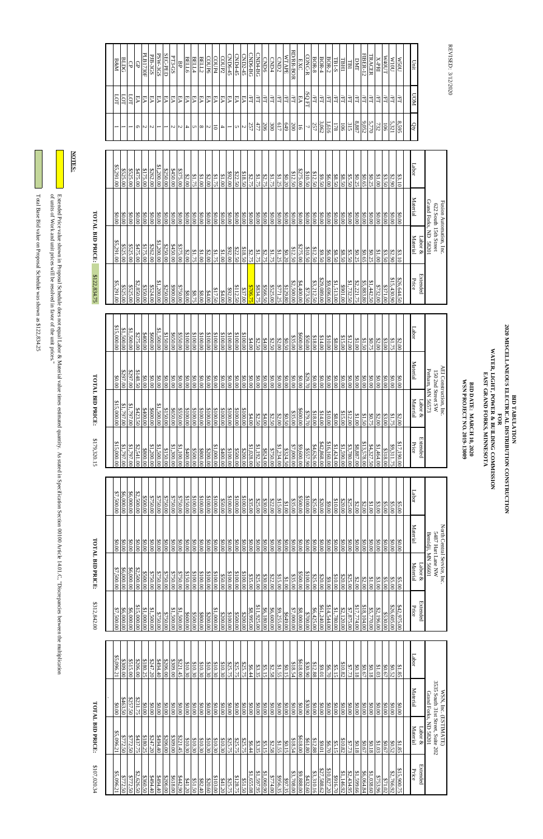REVISED: 3/12/2020 REVISED: 3/12/2020

 Total Base Bid value on Proposal Schedule was shown as \$122,834.25 Total Base Bid value on Proposal Schedule was shown as \$122,834.25

 of units of Work and unit prices will be resolved in favor of the unit prices."  $\mathrm{Exch}$  in Proposal Schedule does not equal Labor & Material value times estimated duantity. As stated in Specification Section  $\mathrm{C}$  and  $\mathrm{C}$ Extended Price value shown in Proposal Schedule does not equal Labor & Material value times estimated quantity. As stated in Specification Section 00100 Article 14.01.C, "Discrepancies'<br>of units of Work and unit prices wil

# TOTAL BID PRICE: **TOTAL BID PRICE:**

**BID DATE: MARCH 10, 2020**<br>WSN PROJECT NO. 2019-13009 **WSN PROJECT NO. 2019-13009 BID DATE: MARCH 10, 2020**

| \$5,096.21                | \$5,096.21          | 00'0\$            | \$5,096.21        |
|---------------------------|---------------------|-------------------|-------------------|
| \$772.50                  | \$772.50            | \$463.50          | 00'608'           |
| \$772.50                  | \$772.50            |                   | \$515.00          |
| \$2,626.50                | \$437.75            | 8231.75           | \$206.00          |
| \$360.50                  | \$180.25            | $\frac{0.000}{0}$ | \$180.25          |
| 8494.40                   | \$247.20            | 00.08             | \$247.20          |
| $0 + 6 + 8$               | 07767\$             | 00.08             | 07767\$           |
| \$206.00                  | \$206.00            | 00.08             | \$206.00          |
| \$618.00                  | 00.005              | 00'0\$            | \$309.00          |
| \$442.90                  | \$221.45            | 0.000             | \$221.45          |
| \$41.20                   | \$10.30             | 00.08             | \$10.30           |
| \$51.50                   | \$10.30             | 00.008            | \$10.30           |
| \$82.40                   | 810.30              | 00.08             | \$10.30           |
| \$20.60                   | \$10.30             | 00.08             | \$10.30           |
| \$103.00                  | \$10.30             | 00.08             | \$10.30           |
| \$41.20                   | \$10.30             | 00.08             | \$10.30           |
| \$25.75                   | \$25.75             | \$0.00            | \$25.75           |
| \$128.75                  | \$25.75             | \$0.00            | \$25.75           |
| \$51.<br>50               | \$25.75             | \$0.00            | \$25.75           |
| \$1,655.08                | \$6.44              | 00.08             | \$6.44            |
| \$1,597.95                | \$3.35              | \$0.00            | \$3.35            |
| \$1,060.90                | \$5.15              | \$0.00            | \$5.15            |
| \$774.00                  | \$2.58              | \$0.00            | \$2.58            |
| \$956.35                  | \$1.55              | 00.08             | \$1.55            |
| \$97.35                   | \$0.15              | 00'0\$            | \$0.15            |
| \$3,708.00                | \$18.54             | 00.00             | \$18.54           |
| \$9,888.00                | \$618.00            | \$0.00            | \$618.00          |
| \$432.60                  | \$61.80             | \$30.90           | 830.90            |
| \$27,588.62<br>\$3,310.16 | \$12.88             | 00.08             | \$12.88           |
|                           | $\frac{10.01}{10}$  | 0.000             | $\frac{100}{100}$ |
| \$10,827.20               | 86.70               | $00.00$           | \$6.70            |
| \$916.70                  | \$5.15              | \$0.00            | \$5.15            |
| \$1,146.92                | \$10.82             | 00.08             | \$10.82           |
| \$2,434.95                | \$7.73              | 00'0\$            | \$7.73            |
| \$1,599.66                | \$0.18              | 00.08             | 80.18             |
| \$6,064.84                | \$0.67              | \$0.00            | 50.67             |
| \$1,038.60                | 81.02               | $\frac{1}{100}$   | 81.0\$            |
| \$753.96                  | \$1.03              | 00.08             | \$1.03            |
| \$71.02                   | \$0.67              | 00.08             | \$0.67            |
| \$2,766.92                | <b>\$0.52</b>       | 00.08             | \$1.85            |
| \$15,900.75               | \$1.85              | \$0.00            |                   |
|                           |                     |                   |                   |
| Extended<br>Price         | Labor &<br>Material | Material          | Labor             |
|                           |                     |                   |                   |

| <b>FOTAL BID PRICE:</b> |                             |                       | \$179,320.15             | <b>TOTAL BID PRICE:</b> |                   |             | \$122,834.75      | <b>TOTAL BID PRICE:</b> |                         |            |                          |              |                          |
|-------------------------|-----------------------------|-----------------------|--------------------------|-------------------------|-------------------|-------------|-------------------|-------------------------|-------------------------|------------|--------------------------|--------------|--------------------------|
| 000000000               | 00'0\$                      | \$7,500.00            | \$15,000.00              | \$15,000.00             | 00.08             | \$15,000.00 | \$5,291.00        | \$5,291.00              | 00.008                  | \$5,291.00 |                          | LOT          | <b>B&amp;M</b>           |
| \$6,000.00              | 00.08                       | \$6,000.00            | 00'161'18                | \$1,797.00              | \$297.00          | \$1,500.00  | \$525.00          | \$525.00                | 00.00                   | \$525.00   |                          | SЗ           | BLDG                     |
| \$6,000.00              | \$0.00                      | \$6,000.00            | \$1,797.00               | \$1,797.00              | \$297.00          | \$1,500.00  | \$525.00          | \$525.00                | \$0.00                  | \$525.00   |                          | g            | ੳ                        |
| \$2,500.00              | 00'0\$                      | \$2,500.00            | \$2,541.00               | \$423.50                | \$148.50          | \$275.00    | \$2,850.00        | \$475.00                | 00.00                   | \$475.00   | Ō                        | ₽A           | Ð                        |
| 00.0038                 | \$0.00                      | \$500.00              | \$800.00                 | \$400.00                | \$0.00            | \$400.00    | \$350.00          | \$175.00                | \$0.00                  | \$175.00   | N                        | EА           | PLB1730F                 |
| \$750.00                | 00'0\$                      | \$750.00              | 81,200.000               | 8600.00                 | $\frac{90.00}{2}$ | \$600.00    | \$524.00          | \$262.00                | \$0.00                  | \$262.00   | N                        | FА           | PJB-3GS                  |
| \$750.00                | \$0.00                      | \$750.00              | \$1,500.00               | \$1,500.00              | \$0.00            | \$1,500.00  | \$1,200.00        | \$1,200.00              | \$0.00                  | \$1,200.00 |                          | EA           | PSW-3GS                  |
| \$750.00                | \$0.00                      | \$750.00              | \$150.00                 | \$150.00                | \$0.00            | \$150.00    | \$250.00          | \$250.00                | \$0.00                  | \$250.00   |                          | EА           | SEC-PED                  |
| \$750.00                | \$0.00                      | \$750.00              | \$1,300.00               | \$650.00                | \$0.00            | \$650.00    | \$900.00          | \$450.00                | \$0.00                  | 6450.00    | N                        | EA           | PT3-GS                   |
| \$750.00                | 00'0\$                      | \$750.00              | \$1,100.00               | \$550.00                | \$0.00            | \$550.00    | \$750.00          | \$375.00                | \$0.00                  | 00'525     | N                        | EА           | ВP                       |
| \$150.00                | 00'08                       | \$150.00              | 00'00'1\$                | 00.0018                 | 90.00             | \$100.00    | \$8.00            | \$2.00                  | \$0.00                  | \$2.00     | 4                        | EА           | <b>BELL6</b>             |
| 00.0018                 | 00'08                       | \$100.00              | 00.0038                  | 00.0018                 | 00.08             | \$100.00    | \$8.75            | \$1.75                  | 00.08                   | \$1.75     | U                        | EА           | <b>BELL4</b>             |
| \$100.00                | 00'08                       | \$100.00              | 00'008\$                 | 00.0018                 | 90.00             | \$100.00    | \$8.00            | \$1.00                  | \$0.00                  | 0018       | $\infty$                 | EА           | <b>BELL2</b>             |
| \$100.00                | \$0.00                      | \$100.00              | \$200.00                 | 00.0018                 | \$0.00            | \$100.00    | \$4.00            | \$2.00                  | \$0.00                  | \$2.00     | N                        | EА           | COUP6                    |
| \$100.00                | 00'08                       | \$100.00              | 00'000'1\$               | 00.0018                 | 00.08             | \$100.00    | \$17.50           | \$1.75                  | 00.08                   | \$1.75     | $\overline{0}$           | EA           | COUP4                    |
| \$50.00                 | 00'08                       | \$50.00               | 8400.00                  | \$100.00                | 00.08             | \$100.00    | \$4.00            | \$1.00                  | 00.08                   | 0018       | $\overline{\phantom{a}}$ | EА           | COUP2                    |
| 00.0018                 | 00'08                       | \$100.00              | 00.0018                  | \$100.00                | 00.00             | \$100.00    | \$92.00           | \$92.00                 | 00.08                   | \$92.00    | $\overline{\phantom{0}}$ | EА           | CND6-45                  |
| 00.0018                 | 00'0\$                      | 00.0018               | 00.00.88                 | 00.0018                 | 90.00             | \$100.00    | \$112.50          | \$22.50                 | 00.00                   | \$22.50    | S                        | FА           | CND4-45                  |
| \$100.00                | 00'0\$                      | \$100.00              | 00.00.08                 | \$100.00                | \$0.00            | \$100.00    | \$37.00           | \$18.50                 | 90.00                   | \$18.50    | N                        | EА           | CND2-45                  |
| \$35.00                 | \$0.00                      | \$35.00               | \$1,028.00               | \$4.00                  | 00.08             | \$4.00      | \$706.75          | \$2.75                  | 00.08                   | \$2.75     | 257                      | Æ            | CND6-BG                  |
| \$25.00                 | 00'08                       | \$25.00               | \$1,192.50               | \$2.50                  | 90.00             | \$2.50      | \$834.75          | \$1.75                  | 00.08                   | \$1.75     | 477                      | Η            | CND4-BG                  |
| \$30.00                 | \$0.00                      | \$30.00               | 00't<br>738              | \$4.00                  | \$0.00            | \$4.00      | \$566.50          | \$2.75                  | \$0.00                  | \$2.75     | 206                      | $F\Gamma$    | <b>CND6</b>              |
|                         | 00'08                       | \$22.00               | \$750.00                 | \$2.50                  | 00.08             | \$2.50      | \$525.00          | \$1.75                  | \$0.00                  | \$1.75     | 300                      | Æ            | CND4                     |
|                         | \$0.00                      | \$15.00               | \$1,234.00               | \$2.00                  | \$0.00            | \$2.00      | \$771.25          | \$1.25                  | \$0.00                  | \$1.25     | 617                      | EL           | CMD2                     |
|                         | 00'08                       | \$1.00                | \$324.50                 | \$0.50                  | 90.00             | \$0.50      | \$129.80          | \$0.20                  | \$0.00                  | \$0.20     | 649                      | Æ            | <b>WTAPE</b>             |
| \$35.00                 | \$0.00                      | \$35.00               | \$7,000.00               | \$35.00                 | \$0.00            | \$35.00     | \$2,500.00        | \$12.50                 | \$0.00                  | \$12.50    | 200                      | Æ            | RD/RR-BOR                |
| 00.003                  | 00.08                       | \$500.00              | \$9,600.00               | \$600.00                | 90.00             | \$600.00    | \$4,400.000       | \$275.00                | \$0.00                  | \$275.00   | 5                        | EA           | EXC                      |
| \$100.00                | \$0.00                      | \$100.00              | \$557.90                 | \$79.70                 | \$29.70           | \$50.00     | \$73.50           | \$10.50                 | \$0.00                  | \$10.50    | ┙                        | SQ FT        | CONC-R                   |
| \$25.00                 | 00'08                       | \$25.00               | \$4,626.00               | \$18.00                 | 90.00             | \$18.00     | \$3,212.50        | \$12.50                 | \$0.00                  | \$12.50    | 257                      | मे           | <b>BOR-8</b>             |
|                         | 00'0\$                      | \$20.00               | \$42,868.00              | \$14.00                 | 00.08             | \$14.00     | \$29,089.00       | \$9.50                  | \$0.00                  | \$9.50     | 3,062                    | 互            | $BOR-4$                  |
|                         | 00'08                       | <b>\$9.00</b>         | \$16,160.00              | \$10.00                 | 00.08             | \$10.00     | \$9,696.00        | \$6.00                  | 90.00                   | \$6.00     | 1,616                    | ਸ਼੍ਰੋ        | $BOR-2$                  |
|                         | \$0.00                      | \$10.00               | \$1,424.00               | 88.00                   | \$0.00            | \$8.00      | \$1,513.00        | \$8.50                  | \$0.00                  | \$8.50     | 178                      | É            | <b>TB1-S</b>             |
| 820.00                  | 00.08                       | \$20.00               | \$1,590.00               | \$15.00                 | 90.00             | \$15.00     | 00.100\$          | \$8.50                  | 90.00                   | \$8.50     | 106                      | ਸ਼੍ਰੋ        | <b>TBH1</b>              |
| \$25.00                 | \$0.00                      | \$25.00               | \$3,780.00               | \$12.00                 | \$0.00            | \$12.00     | \$1,732.50        | \$5.50                  | \$0.00                  | \$5.50     | 315                      | ĚL           | TBI                      |
|                         | 00'0\$                      | $$2.00$               | \$8,887.00               | \$1.00                  | 90.00             | \$1.00]     | 82,221.75         | \$0.25                  | \$0.00                  | \$0.25     | $8.887\,$                | ÆL           | DMT                      |
|                         | \$0.00                      | \$2.00                | \$13,578.00              | \$1.50                  | \$0.00            | \$1.50      | \$5,883.80        | \$0.65                  | \$0.00                  | \$0.65     | 9,052                    | E            | <b>FIBER-12</b>          |
|                         | 00.08                       | $\frac{$3.00}{$1.00}$ | \$4,327.50               | \$0.75                  | $90.00$           | \$0.75      | \$1,442.50        | \$0.25                  | \$0.00                  | \$0.25     | 5,770                    | Ę            | TRACER                   |
|                         | \$0.00                      |                       | \$1,464.00               | \$2.00                  | \$0.00            | \$2.00      | \$732.00          | \$1.00                  | 0.000                   | \$1.00     | 732                      | $\mathbb{H}$ | <b>X-PRI</b>             |
|                         | 00.08                       | \$5.00                | 00'8183                  | \$3.00                  | 00.08             | \$3.00      | 8371.00           | \$3.50                  | \$0.00                  | \$3.50     | 106                      | E            | TUO <sub>4</sub> W       |
|                         | 00.08                       | \$5.00                | \$9,311.75               | \$1.75                  | <b>90.00</b>      | \$1.75      | \$15,430.90       | \$2.90                  | \$0.00                  | \$2.90     | 5,321                    | ΈL           | 101M                     |
|                         | 00.08                       | \$5.00                | \$17,190.00              | \$2.00                  | \$0.00            | \$2.00      | \$26,644.50       | \$3.10                  | 90.00                   | \$3.10     | 8,595                    | ਸ਼੍ਰੋ        | <b>N50U</b>              |
|                         |                             |                       |                          |                         |                   |             |                   |                         |                         |            |                          |              |                          |
| Material<br>$\pm 100$ k | Material                    | Labor                 | <b>Extended</b><br>Price | Material<br>$\ker \&$   | Material          | Labor       | Extended<br>Price | Material<br>Labor $\&$  | Material                | Labor      | Qty                      | <b>UOM</b>   | $\mathop{\mathrm{Unit}}$ |
|                         | Bemidji, MN 56601           |                       |                          | Perham, MN 56573        |                   |             |                   |                         | Grand Forks, ND 58201   |            |                          |              |                          |
|                         | 5487 Hart Lane NW           |                       |                          | 150 2nd Street SW       |                   |             |                   |                         | 622 South 15th Street   |            |                          |              |                          |
|                         | North Central Service, Inc. |                       |                          | AEI Construction, Inc   |                   |             |                   |                         | Fusion Automation, Inc. |            |                          |              |                          |

\$107,020.34

**NOTES:**

**BID TABULATION 2020 MISCELLANEOUS ELECTRICAL DISTRIBUTION CONSTRUCTION** BID TABULATION<br> **FOR BILE AND AND REAL DISTRIBUTION CONSTRUCTION<br>
FOR FORE AND BILLING COMMISSION<br>
FAST GRAND FORKS, MINNESOTA<br>
FAST GRAND FORKS, MINNESOTA<br>
FAST GRAND FORKS, MINNESOTA WATER, LIGHT, POWER & BUILDING COMMISSION EAST GRAND FORKS, MINNESOTA**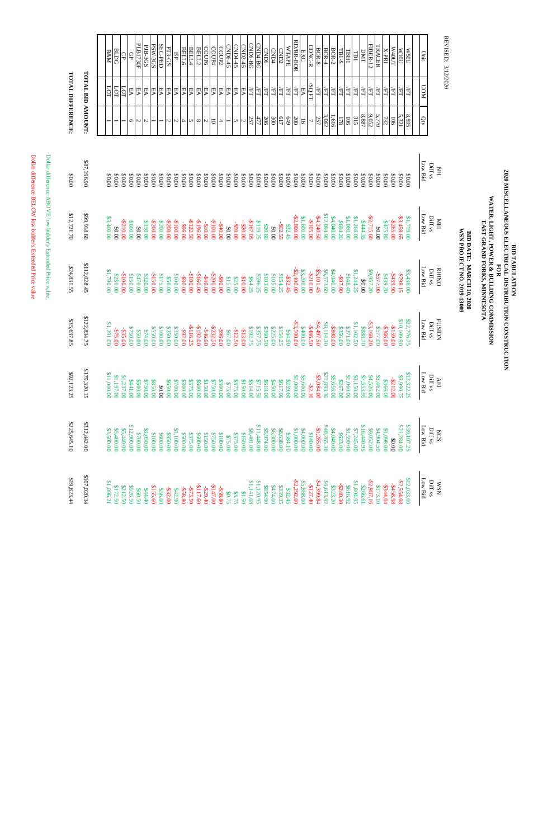REVISED: 3/12/2020 REVISED: 3/12/2020

Dollar difference BELOW low bidder's Extended Price value Dollar difference BELOW low bidder's Extended Price value

Dollar difference ABOVE low bidder's Extended Price value Dollar difference ABOVE low bidder's Extended Price value

|                          |                          | BLDG<br>$B\&M$           |            | G<br>$\Theta$                            | PLB1730F | PJB-3GS    | PSW-3GS    | SEC-PED  | PT3-GS    | ВP                    | <b>BELL6</b> | BELL4      | BELL2      | COUP6     | COUP4          | COUP2          | CND6-45 | CND4-45                   | CND2-45                  | <b>CND6-BG</b> | CND4-BG       | <b>CND6</b> | CND4                          | CND <sub>2</sub> | <b>WTAPE</b> | RD/RR-BOR    | <b>EXC</b>     | CONC-R         | <b>BOR-8</b> | $_{\rm BOR-4}$            | $BOR-2$    | <b>TB1-S</b> | TBHI                     | DMT<br>TBI                    | <b>FIBER-12</b>                | <b>IRACER</b>     | X-PRI      | TUO <sub>4</sub> W | 101M         | M500        | Unit       |                                     |  |
|--------------------------|--------------------------|--------------------------|------------|------------------------------------------|----------|------------|------------|----------|-----------|-----------------------|--------------|------------|------------|-----------|----------------|----------------|---------|---------------------------|--------------------------|----------------|---------------|-------------|-------------------------------|------------------|--------------|--------------|----------------|----------------|--------------|---------------------------|------------|--------------|--------------------------|-------------------------------|--------------------------------|-------------------|------------|--------------------|--------------|-------------|------------|-------------------------------------|--|
| <b>LOTAL DIFFERENCE:</b> | <b>TOTAL BID AMOUNT:</b> | LOT                      | LOT        | LOT<br>EА                                | EA       | EA         | EA         | EA       | EА        | EА                    | EA           | EA         | EА         | EA        | EA             | EА             | EА      | EA                        | EА                       | Ę              | ĚĹ            | Ě           | Ĕ                             | ÆT               | E            | Ě            | EA             | /SQ FT         | $\rm H$      | ÆI.                       | EL         | Ě            | ĚL                       | Η<br>Ě                        | Æ                              | ĚĹ                | ĚĹ         | ĚĹ                 | ਸ਼੍ਰੋ        | ĔГ          | <b>NON</b> |                                     |  |
|                          |                          |                          |            | Q                                        | S        | N          |            |          | S         | $\boldsymbol{\omega}$ | 4            | S          | $\infty$   | Z         | 5              | $\overline{4}$ | ╾       | U                         | $\sim$                   | 257            | 477           | 206         | 300                           | 617              | 649          | 200          | $\overline{9}$ | $\overline{ }$ | 257          | 3,062                     | 1,616      | 178          | 106                      | 8.887<br>315                  | 9,052                          | 5,770             | 732        | <b>106</b>         | 5.321        | 8,595       | G          |                                     |  |
| $00.00$                  | \$87,196.90              | 00'08                    | 00'0\$     | \$0.00<br>00'08                          | 00'0\$   | \$0.00     | 00'0\$     | 00'08    | 00'0\$    | \$0.00                | 00'0\$       | \$0.00     | 00'08      | 00.08     | 00'0\$         | 00'0\$         | 00.08   | 00'0\$                    | 00'0\$                   | 00.08          | 00'08         | 00'0\$      | 00'08                         | 00'0\$           | 00'0\$       | 00'08        | 00.08          | \$0.00         | 00'08        | 00'08                     | 00'08      | 00'08        | 00'08                    | \$0.00<br>00'08               | 00'08                          | 00'08             | 00'08      | 00.08              | 00'08        | 00'0\$      | Low Bid    | Diff vs<br>H <sub>M</sub>           |  |
| \$12,721.70              | \$99,918.60              | \$3,400.00<br>00.00      |            | $-2210.00$<br>\$600.00                   | 00.08    | \$150.00   | -\$200.00  | \$200.00 | -\$200.00 | $-5100.00$            | -\$96.00     | $-2122.50$ | $-5196.00$ | -\$10.00  | $-5100.000$    | $-540.00$      | 00.08   | -\$50.00                  | -\$20.00                 | $-5167.05$     | \$119.25      | \$20.60     | 00.08                         | -\$92.55         | \$32.45      | \$2,800.00   | 00'009'1\$     | -\$105.00      | $-24,240.50$ | \$12,094.90               | 00'00'0'   | \$694.20     | \$1,060.00               | \$1,260.00<br><b>\$444.35</b> | $-22,715.60$                   | \$0.00            | 8475.80    | $-2265.00$         | $-53,458.65$ | 1.719.00    | Low Bid    | $Diff$ vs<br><b>NEI</b>             |  |
| \$24,831.55              | \$112,028.45             | \$1,790.00               | \$250.00   | $-5100.00$<br>\$150.00                   | 8470.00  | 8320.00    | $-5150.00$ | \$175.00 | \$50.00   | \$100.00              | $-580.00$    | $-2100.00$ | $-5160.00$ | $-540.00$ | -\$200.00      | $-580.000$     | \$15.00 | \$25.00                   | $-510.00$                | \$64.25        | \$596.25      | \$103.00    | \$105.00                      | \$154.25         | $-532.45$    | $-22,400.00$ | \$3,200.00     | -\$210.00      | $-55,101.45$ | \$8,573.60                | \$4,040.00 | 06'16\$      | \$148.40                 | \$1,244.25<br>00.00           | \$9,957.20                     | $-5577.00$        | 8439.20    | -\$439.90          | -\$798.15    | \$3,438.00  | Low Bid    | <b>RHINO</b><br>$Diff$ vs           |  |
| \$35,637.85              | \$122,834<br>75          | \$1,291.00<br>$-575.00$  |            | \$750.00<br>$-535$<br>$\rm \ddot{\rm 8}$ | 00'05\$  | $00*14.00$ | \$550.00   | 00'001\$ | \$250.00  | 00'028\$              | $-592.00$    | -\$116.25  | $-5192.00$ | $-546.00$ | $-5232$<br>SO. | $-596300$      | \$67.00 | $-512$<br>$\overline{50}$ | $-313$<br>$\overline{0}$ | \$192.<br>.75  | \$357.<br>.75 | \$360.50    | \$225.<br>$\overline{\delta}$ | \$154.25         | \$64.90      | $-53,500.00$ | 00'00'5\$      | -\$486.50      | -\$4,497.50  | \$8,114.<br>$\mathcal{S}$ | -\$808.00  | \$356.00     | \$1,102.50<br>8371.00    | \$888.<br>$\ddot{\omega}$     | $-53,168$ .<br>$\overline{50}$ | \$577.00          | -\$366.00  | $-5159.00$         | \$10,109.90  | \$22,776.75 | Low Bid    | <b>FUSION</b><br>$\mathrm{Diff}$ vs |  |
| \$92,123.25              | \$179,320.15             | \$11,000.00              | \$1,197.00 | \$1,237.00<br>8441.00                    | \$500.00 | \$750.00   | \$850.00   | 00'0\$   | \$650.00  | \$700.00              | \$300.00     | \$375.00   | \$600.00   | \$150.00  | \$750.00       | \$300.00       | \$75.00 | \$375.00                  | \$150.00                 | \$514.00       | \$715.50      | \$618.00    | \$450.00                      | \$617.00         | \$259.60     | \$1,000.00   | \$5,600.00     | $-22.10$       | $-53,084.00$ | \$21,893.30               | \$5,656.00 | \$267.00     | \$1,060.00               | \$7,553.95<br>\$3,150.00      | \$4,526.00                     | \$3,462.00        | \$366.00   | -\$212.00          | \$3,990.75   | \$13,322.25 | Low Bid    | Diff vs<br>$\Delta \mathbf{E}$      |  |
| \$225,645.10             | \$312,842.00             | \$5,400.00<br>\$3,500.00 |            | \$12,900.00<br>\$5,440.00                | \$700.00 | \$1,050.00 | \$100.00   | \$600.00 | \$850.00  | \$1,100.00            | \$500.00     | \$375.00   | \$600.00   | \$150.00  | \$750.00       | \$100.00       | \$75.00 | \$375.00                  | \$150.00                 | 88,481.00      | \$11,448.00   | \$5,974.00  | \$6,300.00                    | \$8,638.00       | \$584.10     | \$1,000.00   | \$4,000.00     | \$140.00       | $-1, 285.00$ | \$40,265.30               | 84,040.00  | \$623.00     | 00'065'1\$<br>\$7,245.00 | \$16,440.95                   | \$9,052.00                     | <b>\$4,904.50</b> | \$1,098.00 | 00.08              | \$21,284.00  | \$39,107.25 | Low Bid    | Diff vs<br><b>NCS</b>               |  |
| \$19,823.44              | \$107,020.34             | \$1,096.21               | \$172.50   | \$212.50<br>\$526.50                     | \$60.50  | \$44.40    | $-5155.60$ | \$56.00  | $-532.00$ | \$42.90               | $-558.80$    | -\$73.50   | -\$117.60  | -\$29.40  | $-5147.00$     | -\$58.80       | \$0.75  | \$3.75                    | \$1.50                   | 81,141.08      | \$1,120.95    | \$854.90    | 00'tLt\$                      | \$339.35         | \$32.45      | $-22.292.00$ | \$5,888.00     | -\$127.40      | $-84,399.84$ | \$6,613.92                | \$323.20   | $-2240.30$   | \$616.92                 | \$1,804.95<br>\$266.61        | $-52,987.16$                   | \$173.10          | $-5344.04$ | -\$458.98          | $-52,554.08$ | \$12,033.00 | Low Bid    | $Diff$ vs<br><b>NSM</b>             |  |

**BID TABULATION EAST GRAND FORKS, MINNESOTA WATER, LIGHT, POWER & BUILDING COMMISSION** BID TABULATION<br>**FOR DESCRIPTION CONSTRUCTION**<br>FOR PORTRICAL DISTRIBUTION CONSTRUCTION<br>FORE LIGHT, POWER & BUILDING COMMISSION<br>EAST GRAND FORKS, MINNESOTA **2020 MISCELLANEOUS ELECTRICAL DISTRIBUTION CONSTRUCTION**

**BID DATE: MARCH 10, 2020 WSN PROJECT NO. 2019-13009**

BID DATE: MARCH 10, 2020 WSN PROJECT NO. 2019-13009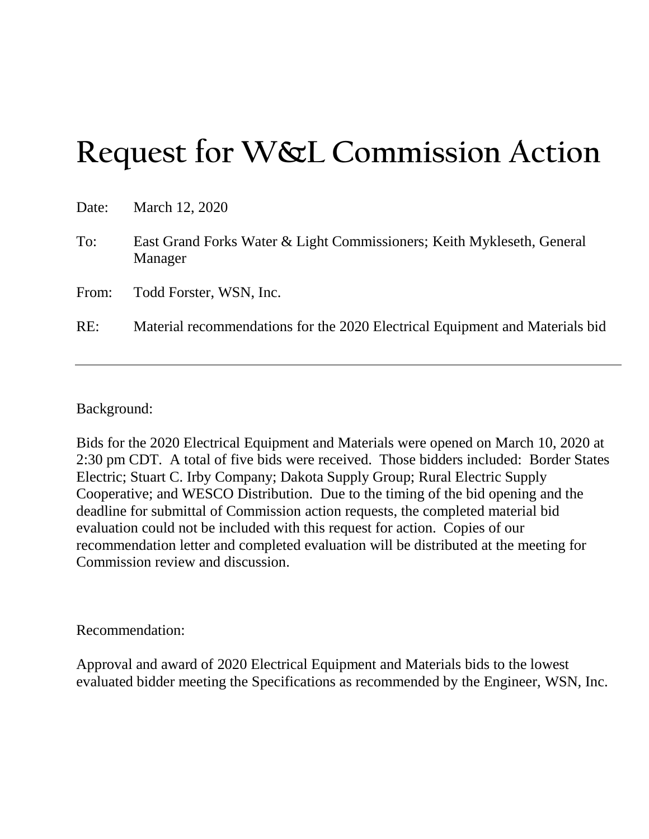# **Request for W&L Commission Action**

| Date: | March 12, 2020                                                                    |
|-------|-----------------------------------------------------------------------------------|
| To:   | East Grand Forks Water & Light Commissioners; Keith Mykleseth, General<br>Manager |
| From: | Todd Forster, WSN, Inc.                                                           |
| RE:   | Material recommendations for the 2020 Electrical Equipment and Materials bid      |

### Background:

Bids for the 2020 Electrical Equipment and Materials were opened on March 10, 2020 at 2:30 pm CDT. A total of five bids were received. Those bidders included: Border States Electric; Stuart C. Irby Company; Dakota Supply Group; Rural Electric Supply Cooperative; and WESCO Distribution. Due to the timing of the bid opening and the deadline for submittal of Commission action requests, the completed material bid evaluation could not be included with this request for action. Copies of our recommendation letter and completed evaluation will be distributed at the meeting for Commission review and discussion.

### Recommendation:

Approval and award of 2020 Electrical Equipment and Materials bids to the lowest evaluated bidder meeting the Specifications as recommended by the Engineer, WSN, Inc.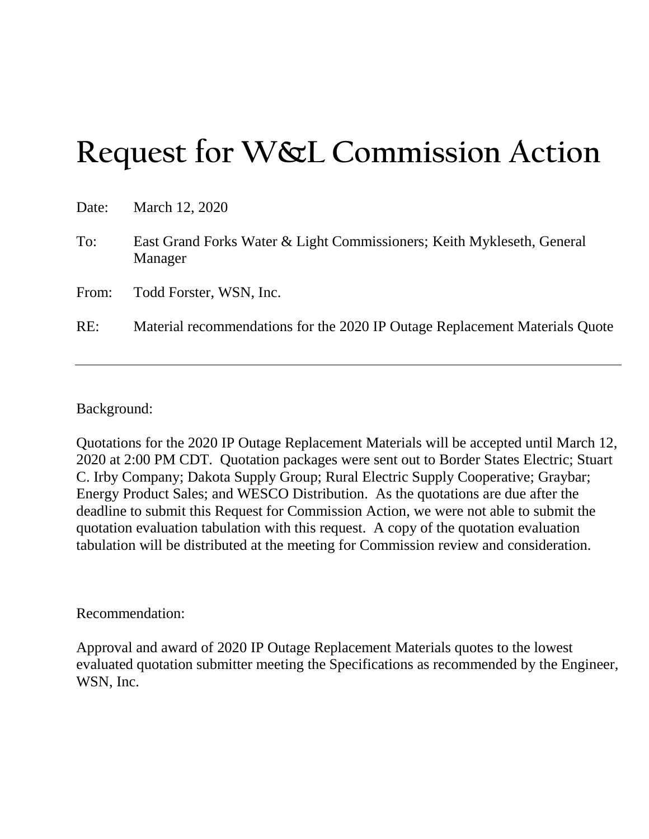# **Request for W&L Commission Action**

| Date: | March 12, 2020                                                                    |
|-------|-----------------------------------------------------------------------------------|
| To:   | East Grand Forks Water & Light Commissioners; Keith Mykleseth, General<br>Manager |
| From: | Todd Forster, WSN, Inc.                                                           |
| RE:   | Material recommendations for the 2020 IP Outage Replacement Materials Quote       |

### Background:

Quotations for the 2020 IP Outage Replacement Materials will be accepted until March 12, 2020 at 2:00 PM CDT. Quotation packages were sent out to Border States Electric; Stuart C. Irby Company; Dakota Supply Group; Rural Electric Supply Cooperative; Graybar; Energy Product Sales; and WESCO Distribution. As the quotations are due after the deadline to submit this Request for Commission Action, we were not able to submit the quotation evaluation tabulation with this request. A copy of the quotation evaluation tabulation will be distributed at the meeting for Commission review and consideration.

### Recommendation:

Approval and award of 2020 IP Outage Replacement Materials quotes to the lowest evaluated quotation submitter meeting the Specifications as recommended by the Engineer, WSN, Inc.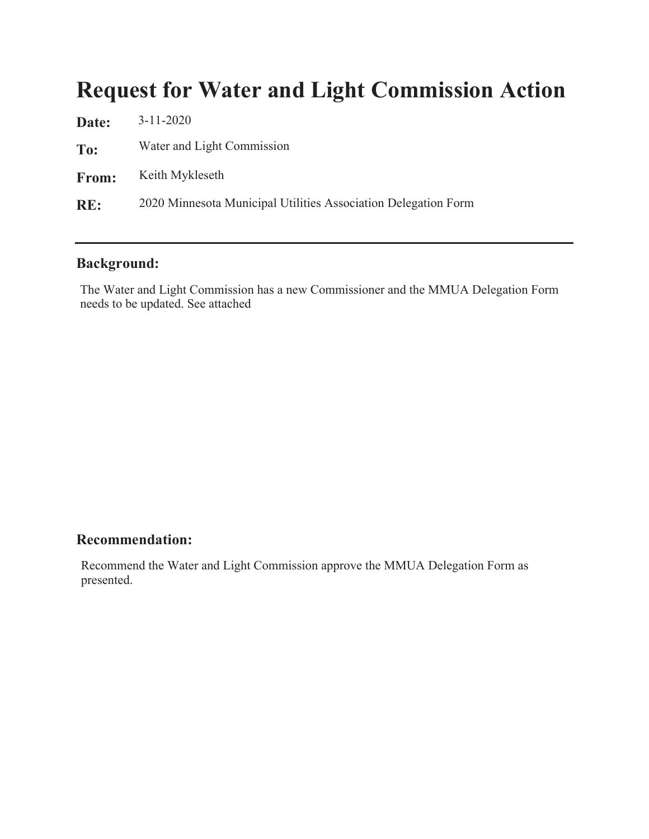### **Request for Water and Light Commission Action**

| $3 - 11 - 2020$                                                |
|----------------------------------------------------------------|
| Water and Light Commission                                     |
| Keith Mykleseth                                                |
| 2020 Minnesota Municipal Utilities Association Delegation Form |
|                                                                |

#### **Background:**

The Water and Light Commission has a new Commissioner and the MMUA Delegation Form needs to be updated. See attached

### Recommendation:

Recommend the Water and Light Commission approve the MMUA Delegation Form as presented.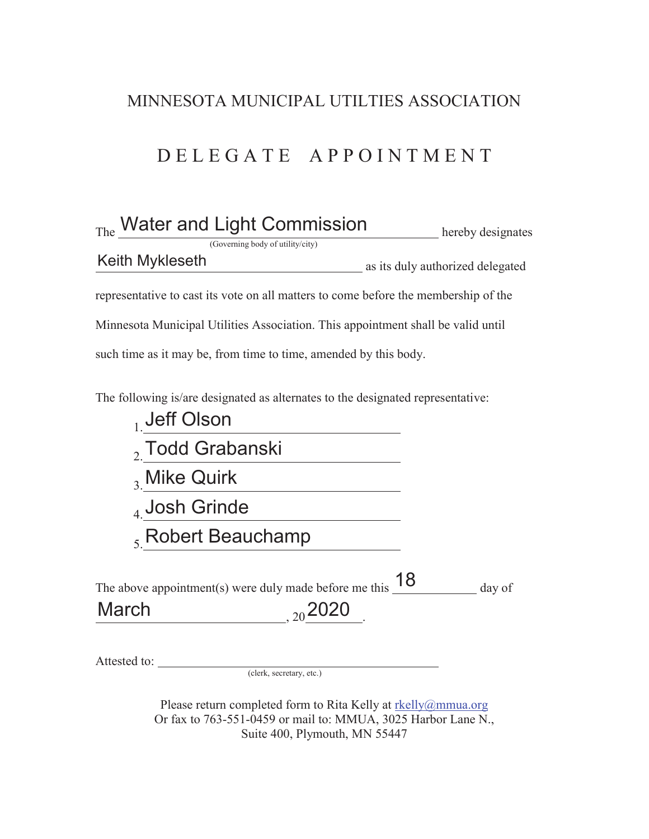### MINNESOTA MUNICIPAL UTILTIES ASSOCIATION

### D E L E G A T E A P P O I N T M E N T

| The Water and Light Commission                                                                     | hereby designates                |
|----------------------------------------------------------------------------------------------------|----------------------------------|
| (Governing body of utility/city)                                                                   |                                  |
| <b>Keith Mykleseth</b>                                                                             | as its duly authorized delegated |
| representative to cast its vote on all matters to come before the membership of the                |                                  |
| Minnesota Municipal Utilities Association. This appointment shall be valid until                   |                                  |
| such time as it may be, from time to time, amended by this body.                                   |                                  |
| The following is/are designated as alternates to the designated representative:<br>$_1$ Jeff Olson |                                  |
| $, 7$ odd Grabanski                                                                                |                                  |

- 3. Mike Quirk
- 4. Josh Grinde
- 5. Robert Beauchamp

| The above appointment(s) were duly made before me this $18$ |              | day of |
|-------------------------------------------------------------|--------------|--------|
| March                                                       | $_{20}$ 2020 |        |

Attested to: <u>(clerk, secretary, etc.)</u>

Please return completed form to Rita Kelly at rkelly@mmua.org Or fax to 763-551-0459 or mail to: MMUA, 3025 Harbor Lane N., Suite 400, Plymouth, MN 55447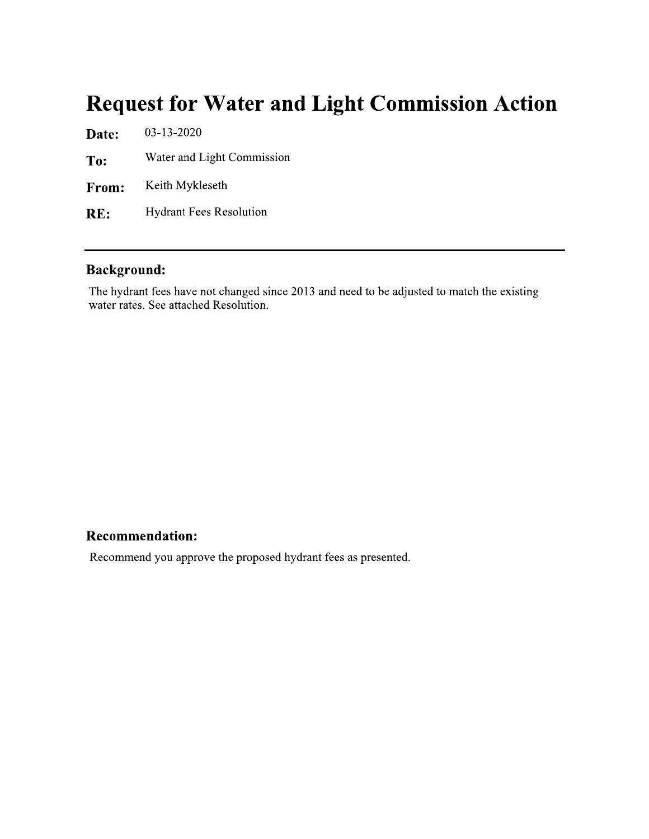### **Request for Water and Light Commission Action**

03-13-2020 Date: Water and Light Commission To: Keith Mykleseth From: **Hydrant Fees Resolution** RE:

### **Background:**

The hydrant fees have not changed since 2013 and need to be adjusted to match the existing water rates. See attached Resolution.

#### **Recommendation:**

Recommend you approve the proposed hydrant fees as presented.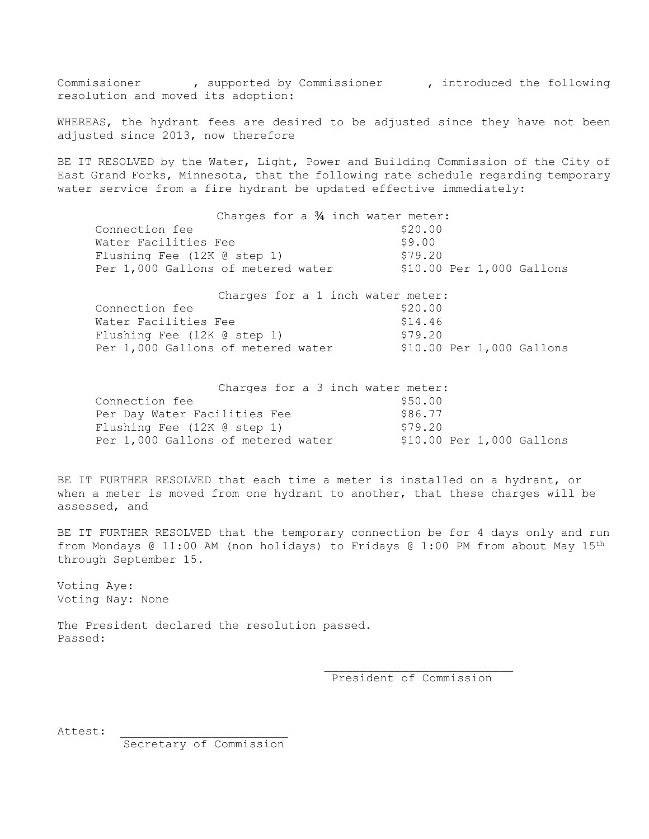Commissioner , supported by Commissioner , introduced the following resolution and moved its adoption:

WHEREAS, the hydrant fees are desired to be adjusted since they have not been adjusted since 2013, now therefore

BE IT RESOLVED by the Water, Light, Power and Building Commission of the City of East Grand Forks, Minnesota, that the following rate schedule regarding temporary water service from a fire hydrant be updated effective immediately:

|                                    | Charges for a $\frac{3}{4}$ inch water meter: |  |         |  |                           |
|------------------------------------|-----------------------------------------------|--|---------|--|---------------------------|
| Connection fee                     |                                               |  | \$20.00 |  |                           |
| Water Facilities Fee               |                                               |  | \$9.00  |  |                           |
| Flushing Fee (12K @ step 1)        |                                               |  | \$79.20 |  |                           |
| Per 1,000 Gallons of metered water |                                               |  |         |  | \$10.00 Per 1,000 Gallons |
|                                    |                                               |  |         |  |                           |
|                                    | Charges for a 1 inch water meter:             |  |         |  |                           |
| Connection fee                     |                                               |  | \$20.00 |  |                           |
| Water Facilities Fee               |                                               |  | \$14.46 |  |                           |
|                                    |                                               |  |         |  |                           |
| Flushing Fee (12K @ step 1)        |                                               |  | \$79.20 |  |                           |

| Charges for a 3 inch water meter:  |                              |  |
|------------------------------------|------------------------------|--|
| Connection fee                     | \$50.00                      |  |
| Per Day Water Facilities Fee       | \$86.77                      |  |
| Flushing Fee (12K @ step 1)        | \$79.20                      |  |
| Per 1,000 Gallons of metered water | $$10.00$ Per $1,000$ Gallons |  |

BE IT FURTHER RESOLVED that each time a meter is installed on a hydrant, or when a meter is moved from one hydrant to another, that these charges will be assessed, and

BE IT FURTHER RESOLVED that the temporary connection be for 4 days only and run from Mondays @ 11:00 AM (non holidays) to Fridays @ 1:00 PM from about May 15th through September 15.

Voting Aye: Voting Nay: None

The President declared the resolution passed. Passed:

> \_\_\_\_\_\_\_\_\_\_\_\_\_\_\_\_\_\_\_\_\_\_\_\_\_\_\_ President of Commission

Attest:

Secretary of Commission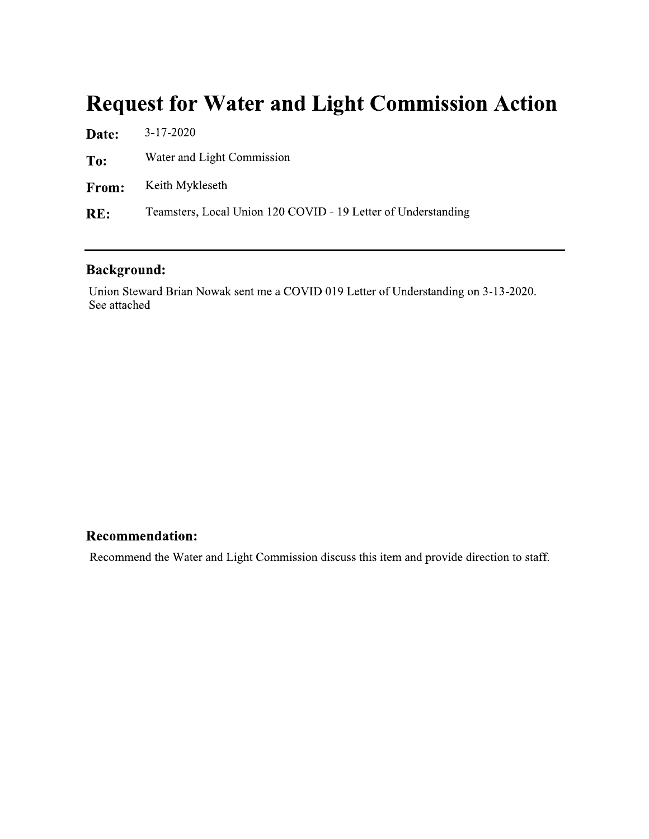### **Request for Water and Light Commission Action**

| <b>Date:</b> | $3 - 17 - 2020$                                               |
|--------------|---------------------------------------------------------------|
| To:          | Water and Light Commission                                    |
| From:        | Keith Mykleseth                                               |
| RE:          | Teamsters, Local Union 120 COVID - 19 Letter of Understanding |

### **Background:**

Union Steward Brian Nowak sent me a COVID 019 Letter of Understanding on 3-13-2020. See attached

### **Recommendation:**

Recommend the Water and Light Commission discuss this item and provide direction to staff.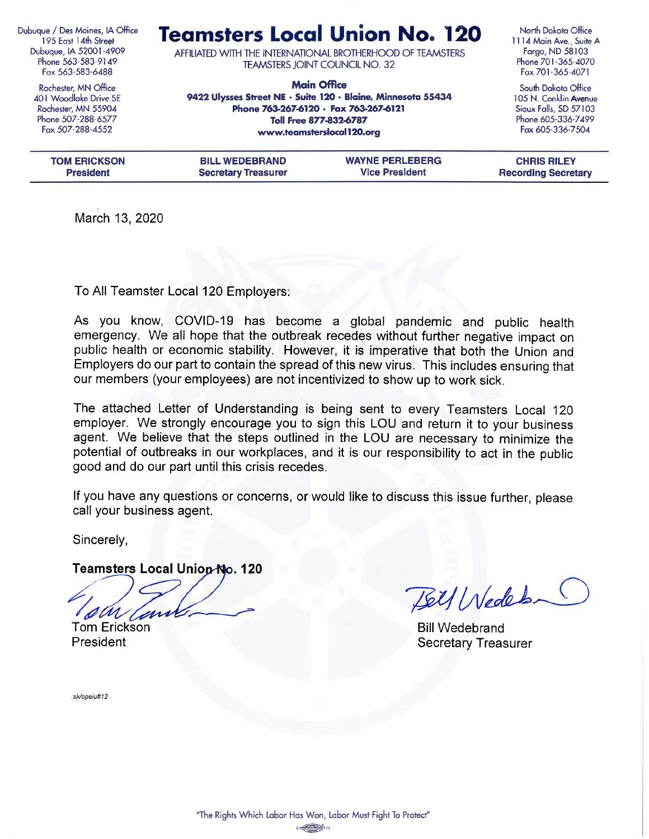Dubuque / Des Moines, IA Office 195 East 14th Street Dubuque, IA 52001-4909 Phone 563-583-9149 Fax 563-583-6488

> Rochester, MN Office 401 Woodlake Drive SE Rochester, MN 55904 Phone 507-288-6577 Fax 507-288-4552

**Teamsters Local Union No. 120** 

AFFILIATED WITH THE INTERNATIONAL BROTHERHOOD OF TEAMSTERS **TEAMSTERS JOINT COUNCIL NO. 32** 

**Main Office** 9422 Ulysses Street NE · Suite 120 · Blaine, Minnesota 55434 Phone 763-267-6120 · Fax 763-267-6121 Toll Free 877-832-6787 www.teamsterslocal120.org

North Dakota Office 1114 Main Ave., Suite A Fargo, ND 58103 Phone 701-365-4070 Fax 701-365-4071

South Dakota Office 105 N. Conklin Avenue Sioux Falls, SD 57103 Phone 605-336-7499 Fax 605-336-7504

| <b>TOM ERICKSON</b> | <b>BILL WEDEBRAND</b>      | <b>WAYNE PERLEBERG</b> | <b>CHRIS RILEY</b>         |
|---------------------|----------------------------|------------------------|----------------------------|
| <b>President</b>    | <b>Secretary Treasurer</b> | <b>Vice President</b>  | <b>Recording Secretary</b> |
|                     |                            |                        |                            |

March 13, 2020

To All Teamster Local 120 Employers:

As you know, COVID-19 has become a global pandemic and public health emergency. We all hope that the outbreak recedes without further negative impact on public health or economic stability. However, it is imperative that both the Union and Employers do our part to contain the spread of this new virus. This includes ensuring that our members (your employees) are not incentivized to show up to work sick.

The attached Letter of Understanding is being sent to every Teamsters Local 120 employer. We strongly encourage you to sign this LOU and return it to your business agent. We believe that the steps outlined in the LOU are necessary to minimize the potential of outbreaks in our workplaces, and it is our responsibility to act in the public good and do our part until this crisis recedes.

If you have any questions or concerns, or would like to discuss this issue further, please call your business agent.

Sincerely,

Teamsters Local Union-No. 120

**Tom Erickson** President

Bell Weder

**Bill Wedebrand Secretary Treasurer** 

:sk/opeiu#12